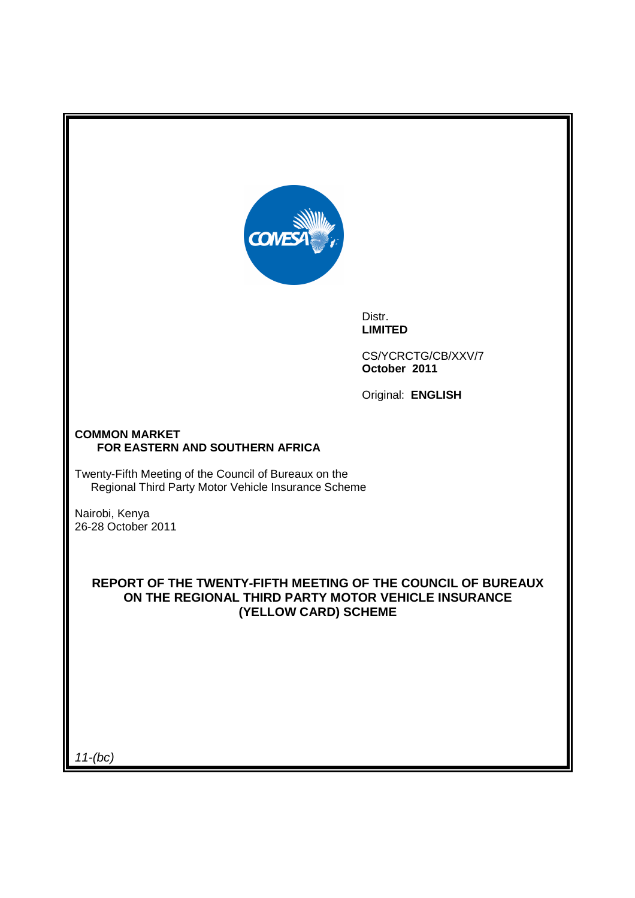

Distr. **LIMITED** 

CS/YCRCTG/CB/XXV/7 **October 2011**

Original: **ENGLISH** 

### **COMMON MARKET FOR EASTERN AND SOUTHERN AFRICA**

Twenty-Fifth Meeting of the Council of Bureaux on the Regional Third Party Motor Vehicle Insurance Scheme

Nairobi, Kenya 26-28 October 2011

## **REPORT OF THE TWENTY-FIFTH MEETING OF THE COUNCIL OF BUREAUX ON THE REGIONAL THIRD PARTY MOTOR VEHICLE INSURANCE (YELLOW CARD) SCHEME**

11-(bc)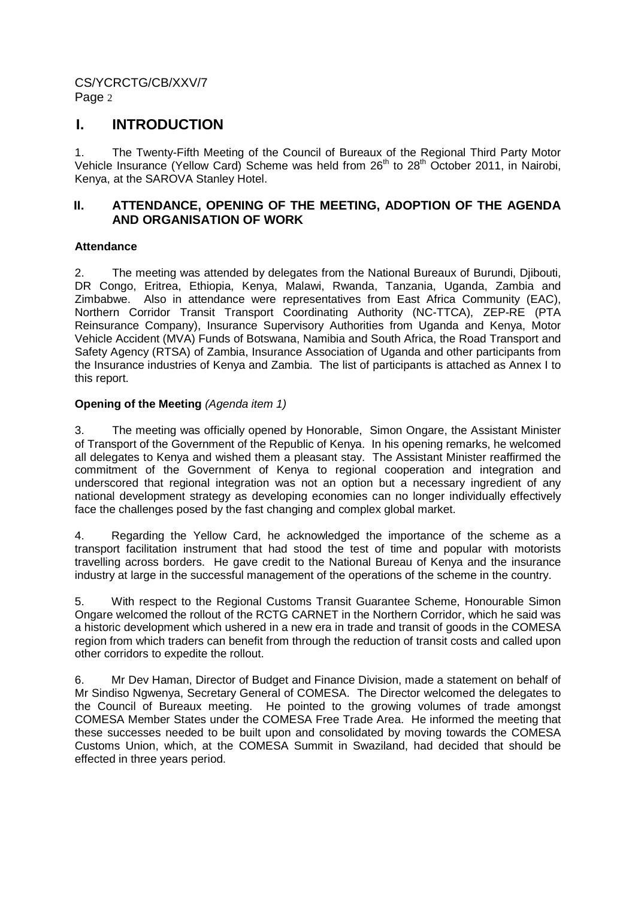# **I. INTRODUCTION**

1. The Twenty-Fifth Meeting of the Council of Bureaux of the Regional Third Party Motor Vehicle Insurance (Yellow Card) Scheme was held from 26<sup>th</sup> to 28<sup>th</sup> October 2011, in Nairobi, Kenya, at the SAROVA Stanley Hotel.

# **II. ATTENDANCE, OPENING OF THE MEETING, ADOPTION OF THE AGENDA AND ORGANISATION OF WORK**

## **Attendance**

2. The meeting was attended by delegates from the National Bureaux of Burundi, Djibouti, DR Congo, Eritrea, Ethiopia, Kenya, Malawi, Rwanda, Tanzania, Uganda, Zambia and Zimbabwe. Also in attendance were representatives from East Africa Community (EAC), Northern Corridor Transit Transport Coordinating Authority (NC-TTCA), ZEP-RE (PTA Reinsurance Company), Insurance Supervisory Authorities from Uganda and Kenya, Motor Vehicle Accident (MVA) Funds of Botswana, Namibia and South Africa, the Road Transport and Safety Agency (RTSA) of Zambia, Insurance Association of Uganda and other participants from the Insurance industries of Kenya and Zambia. The list of participants is attached as Annex I to this report.

## **Opening of the Meeting (Agenda item 1)**

3. The meeting was officially opened by Honorable, Simon Ongare, the Assistant Minister of Transport of the Government of the Republic of Kenya. In his opening remarks, he welcomed all delegates to Kenya and wished them a pleasant stay. The Assistant Minister reaffirmed the commitment of the Government of Kenya to regional cooperation and integration and underscored that regional integration was not an option but a necessary ingredient of any national development strategy as developing economies can no longer individually effectively face the challenges posed by the fast changing and complex global market.

4. Regarding the Yellow Card, he acknowledged the importance of the scheme as a transport facilitation instrument that had stood the test of time and popular with motorists travelling across borders. He gave credit to the National Bureau of Kenya and the insurance industry at large in the successful management of the operations of the scheme in the country.

5. With respect to the Regional Customs Transit Guarantee Scheme, Honourable Simon Ongare welcomed the rollout of the RCTG CARNET in the Northern Corridor, which he said was a historic development which ushered in a new era in trade and transit of goods in the COMESA region from which traders can benefit from through the reduction of transit costs and called upon other corridors to expedite the rollout.

6. Mr Dev Haman, Director of Budget and Finance Division, made a statement on behalf of Mr Sindiso Ngwenya, Secretary General of COMESA. The Director welcomed the delegates to the Council of Bureaux meeting. He pointed to the growing volumes of trade amongst COMESA Member States under the COMESA Free Trade Area. He informed the meeting that these successes needed to be built upon and consolidated by moving towards the COMESA Customs Union, which, at the COMESA Summit in Swaziland, had decided that should be effected in three years period.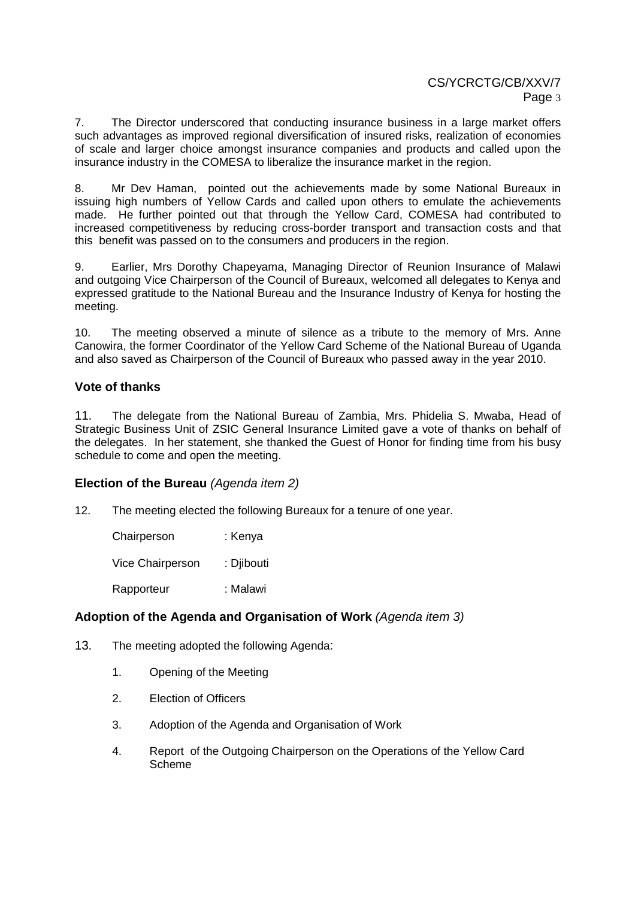7. The Director underscored that conducting insurance business in a large market offers such advantages as improved regional diversification of insured risks, realization of economies of scale and larger choice amongst insurance companies and products and called upon the insurance industry in the COMESA to liberalize the insurance market in the region.

8. Mr Dev Haman, pointed out the achievements made by some National Bureaux in issuing high numbers of Yellow Cards and called upon others to emulate the achievements made. He further pointed out that through the Yellow Card, COMESA had contributed to increased competitiveness by reducing cross-border transport and transaction costs and that this benefit was passed on to the consumers and producers in the region.

9. Earlier, Mrs Dorothy Chapeyama, Managing Director of Reunion Insurance of Malawi and outgoing Vice Chairperson of the Council of Bureaux, welcomed all delegates to Kenya and expressed gratitude to the National Bureau and the Insurance Industry of Kenya for hosting the meeting.

10. The meeting observed a minute of silence as a tribute to the memory of Mrs. Anne Canowira, the former Coordinator of the Yellow Card Scheme of the National Bureau of Uganda and also saved as Chairperson of the Council of Bureaux who passed away in the year 2010.

## **Vote of thanks**

11. The delegate from the National Bureau of Zambia, Mrs. Phidelia S. Mwaba, Head of Strategic Business Unit of ZSIC General Insurance Limited gave a vote of thanks on behalf of the delegates. In her statement, she thanked the Guest of Honor for finding time from his busy schedule to come and open the meeting.

## **Election of the Bureau** (Agenda item 2)

12. The meeting elected the following Bureaux for a tenure of one year.

| Chairperson      | : Kenya    |
|------------------|------------|
| Vice Chairperson | : Djibouti |
| Rapporteur       | : Malawi   |

# **Adoption of the Agenda and Organisation of Work** (Agenda item 3)

- 13. The meeting adopted the following Agenda:
	- 1. Opening of the Meeting
	- 2. Election of Officers
	- 3. Adoption of the Agenda and Organisation of Work
	- 4. Report of the Outgoing Chairperson on the Operations of the Yellow Card Scheme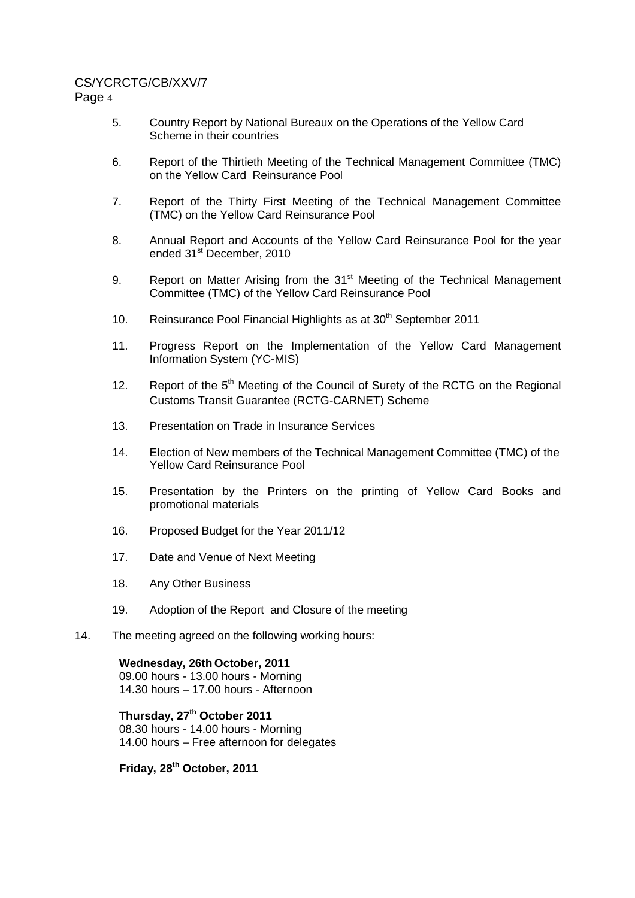## CS/YCRCTG/CB/XXV/7

Page 4

- 5. Country Report by National Bureaux on the Operations of the Yellow Card Scheme in their countries
- 6. Report of the Thirtieth Meeting of the Technical Management Committee (TMC) on the Yellow Card Reinsurance Pool
- 7. Report of the Thirty First Meeting of the Technical Management Committee (TMC) on the Yellow Card Reinsurance Pool
- 8. Annual Report and Accounts of the Yellow Card Reinsurance Pool for the year ended 31<sup>st</sup> December, 2010
- 9. Report on Matter Arising from the 31<sup>st</sup> Meeting of the Technical Management Committee (TMC) of the Yellow Card Reinsurance Pool
- 10. Reinsurance Pool Financial Highlights as at  $30<sup>th</sup>$  September 2011
- 11. Progress Report on the Implementation of the Yellow Card Management Information System (YC-MIS)
- 12. Report of the 5<sup>th</sup> Meeting of the Council of Surety of the RCTG on the Regional Customs Transit Guarantee (RCTG-CARNET) Scheme
- 13. Presentation on Trade in Insurance Services
- 14. Election of New members of the Technical Management Committee (TMC) of the Yellow Card Reinsurance Pool
- 15. Presentation by the Printers on the printing of Yellow Card Books and promotional materials
- 16. Proposed Budget for the Year 2011/12
- 17. Date and Venue of Next Meeting
- 18. Any Other Business
- 19. Adoption of the Report and Closure of the meeting
- 14. The meeting agreed on the following working hours:

**Wednesday, 26th October, 2011**  09.00 hours - 13.00 hours - Morning 14.30 hours – 17.00 hours - Afternoon

**Thursday, 27th October 2011**  08.30 hours - 14.00 hours - Morning 14.00 hours – Free afternoon for delegates

**Friday, 28th October, 2011**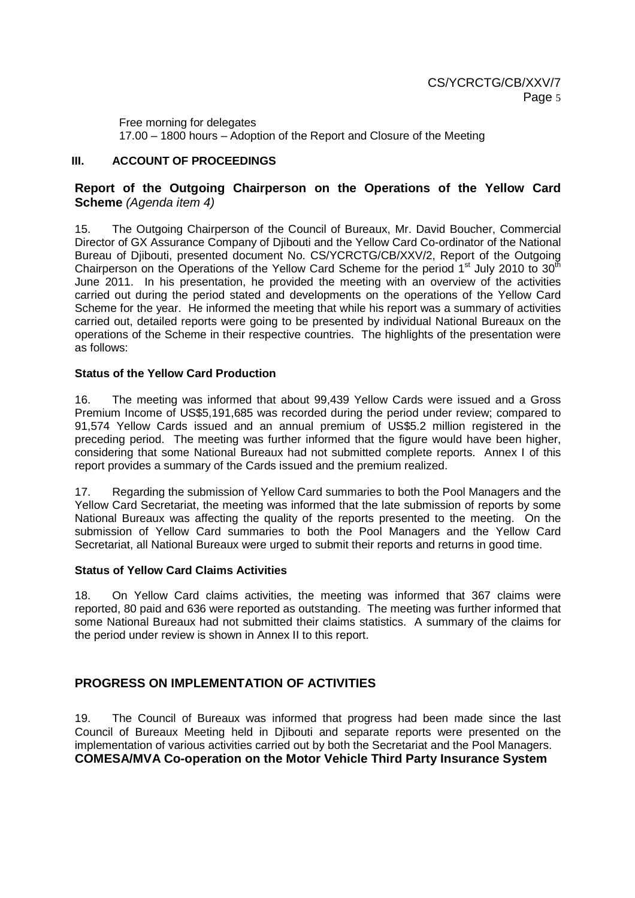Free morning for delegates

17.00 – 1800 hours – Adoption of the Report and Closure of the Meeting

## **III. ACCOUNT OF PROCEEDINGS**

## **Report of the Outgoing Chairperson on the Operations of the Yellow Card Scheme** (Agenda item 4)

15. The Outgoing Chairperson of the Council of Bureaux, Mr. David Boucher, Commercial Director of GX Assurance Company of Djibouti and the Yellow Card Co-ordinator of the National Bureau of Djibouti, presented document No. CS/YCRCTG/CB/XXV/2, Report of the Outgoing Chairperson on the Operations of the Yellow Card Scheme for the period 1<sup>st</sup> July 2010 to 30<sup>th</sup> June 2011. In his presentation, he provided the meeting with an overview of the activities carried out during the period stated and developments on the operations of the Yellow Card Scheme for the year. He informed the meeting that while his report was a summary of activities carried out, detailed reports were going to be presented by individual National Bureaux on the operations of the Scheme in their respective countries. The highlights of the presentation were as follows:

## **Status of the Yellow Card Production**

16. The meeting was informed that about 99,439 Yellow Cards were issued and a Gross Premium Income of US\$5,191,685 was recorded during the period under review; compared to 91,574 Yellow Cards issued and an annual premium of US\$5.2 million registered in the preceding period. The meeting was further informed that the figure would have been higher, considering that some National Bureaux had not submitted complete reports. Annex I of this report provides a summary of the Cards issued and the premium realized.

17. Regarding the submission of Yellow Card summaries to both the Pool Managers and the Yellow Card Secretariat, the meeting was informed that the late submission of reports by some National Bureaux was affecting the quality of the reports presented to the meeting. On the submission of Yellow Card summaries to both the Pool Managers and the Yellow Card Secretariat, all National Bureaux were urged to submit their reports and returns in good time.

#### **Status of Yellow Card Claims Activities**

18. On Yellow Card claims activities, the meeting was informed that 367 claims were reported, 80 paid and 636 were reported as outstanding. The meeting was further informed that some National Bureaux had not submitted their claims statistics. A summary of the claims for the period under review is shown in Annex II to this report.

# **PROGRESS ON IMPLEMENTATION OF ACTIVITIES**

19. The Council of Bureaux was informed that progress had been made since the last Council of Bureaux Meeting held in Djibouti and separate reports were presented on the implementation of various activities carried out by both the Secretariat and the Pool Managers. **COMESA/MVA Co-operation on the Motor Vehicle Third Party Insurance System**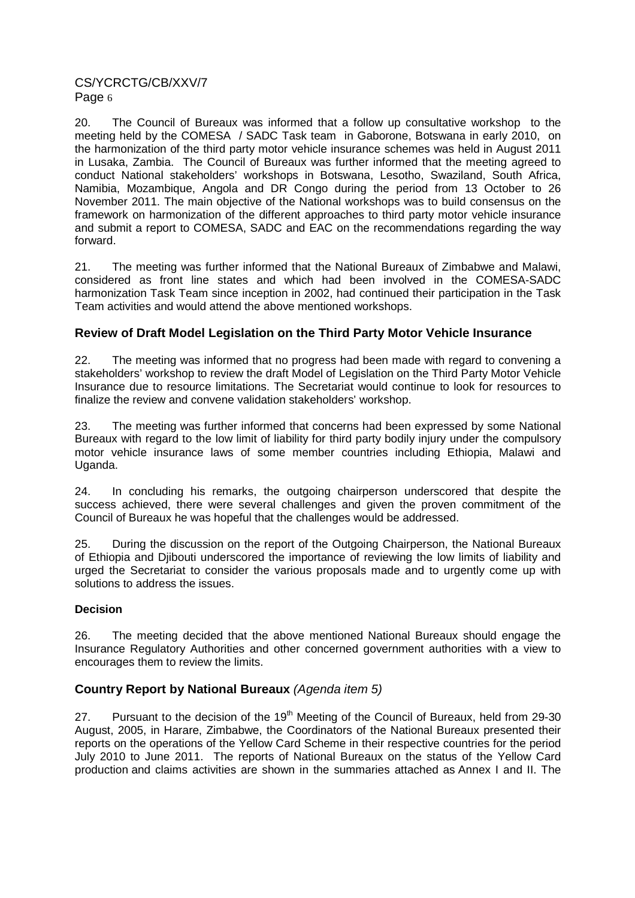20. The Council of Bureaux was informed that a follow up consultative workshop to the meeting held by the COMESA / SADC Task team in Gaborone, Botswana in early 2010, on the harmonization of the third party motor vehicle insurance schemes was held in August 2011 in Lusaka, Zambia. The Council of Bureaux was further informed that the meeting agreed to conduct National stakeholders' workshops in Botswana, Lesotho, Swaziland, South Africa, Namibia, Mozambique, Angola and DR Congo during the period from 13 October to 26 November 2011. The main objective of the National workshops was to build consensus on the framework on harmonization of the different approaches to third party motor vehicle insurance and submit a report to COMESA, SADC and EAC on the recommendations regarding the way forward.

21. The meeting was further informed that the National Bureaux of Zimbabwe and Malawi, considered as front line states and which had been involved in the COMESA-SADC harmonization Task Team since inception in 2002, had continued their participation in the Task Team activities and would attend the above mentioned workshops.

# **Review of Draft Model Legislation on the Third Party Motor Vehicle Insurance**

22. The meeting was informed that no progress had been made with regard to convening a stakeholders' workshop to review the draft Model of Legislation on the Third Party Motor Vehicle Insurance due to resource limitations. The Secretariat would continue to look for resources to finalize the review and convene validation stakeholders' workshop.

23. The meeting was further informed that concerns had been expressed by some National Bureaux with regard to the low limit of liability for third party bodily injury under the compulsory motor vehicle insurance laws of some member countries including Ethiopia, Malawi and Uganda.

24. In concluding his remarks, the outgoing chairperson underscored that despite the success achieved, there were several challenges and given the proven commitment of the Council of Bureaux he was hopeful that the challenges would be addressed.

25. During the discussion on the report of the Outgoing Chairperson, the National Bureaux of Ethiopia and Djibouti underscored the importance of reviewing the low limits of liability and urged the Secretariat to consider the various proposals made and to urgently come up with solutions to address the issues.

## **Decision**

26. The meeting decided that the above mentioned National Bureaux should engage the Insurance Regulatory Authorities and other concerned government authorities with a view to encourages them to review the limits.

## **Country Report by National Bureaux** (Agenda item 5)

27. Pursuant to the decision of the  $19<sup>th</sup>$  Meeting of the Council of Bureaux, held from 29-30 August, 2005, in Harare, Zimbabwe, the Coordinators of the National Bureaux presented their reports on the operations of the Yellow Card Scheme in their respective countries for the period July 2010 to June 2011. The reports of National Bureaux on the status of the Yellow Card production and claims activities are shown in the summaries attached as Annex I and II. The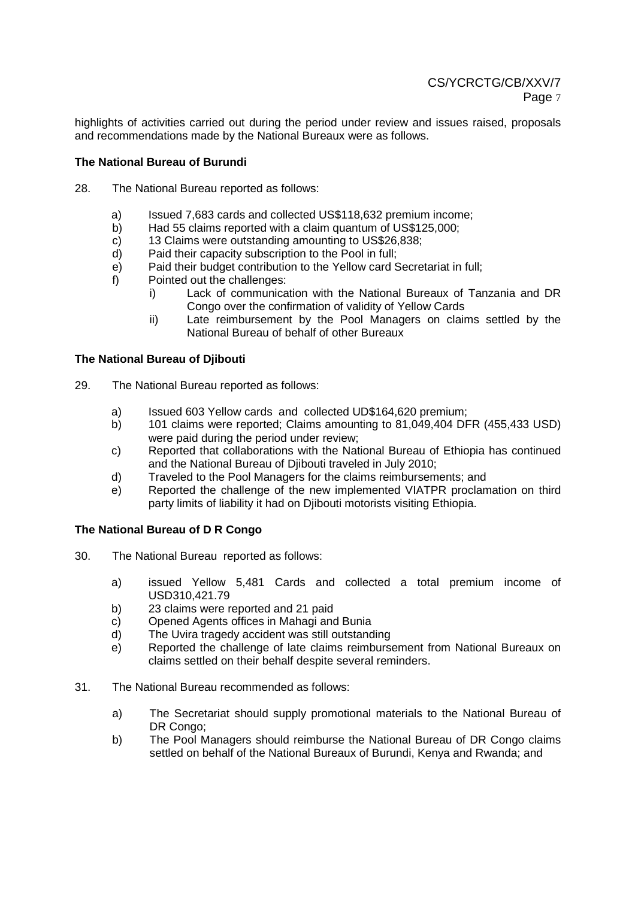highlights of activities carried out during the period under review and issues raised, proposals and recommendations made by the National Bureaux were as follows.

### **The National Bureau of Burundi**

- 28. The National Bureau reported as follows:
	- a) Issued 7,683 cards and collected US\$118,632 premium income;
	- b) Had 55 claims reported with a claim quantum of US\$125,000;
	- c) 13 Claims were outstanding amounting to US\$26,838;
	- d) Paid their capacity subscription to the Pool in full;
	- e) Paid their budget contribution to the Yellow card Secretariat in full;
	- f) Pointed out the challenges:
		- i) Lack of communication with the National Bureaux of Tanzania and DR Congo over the confirmation of validity of Yellow Cards
		- ii) Late reimbursement by the Pool Managers on claims settled by the National Bureau of behalf of other Bureaux

#### **The National Bureau of Djibouti**

- 29. The National Bureau reported as follows:
	- a) Issued 603 Yellow cards and collected UD\$164,620 premium;
	- b) 101 claims were reported; Claims amounting to 81,049,404 DFR (455,433 USD) were paid during the period under review;
	- c) Reported that collaborations with the National Bureau of Ethiopia has continued and the National Bureau of Djibouti traveled in July 2010;
	- d) Traveled to the Pool Managers for the claims reimbursements; and
	- e) Reported the challenge of the new implemented VIATPR proclamation on third party limits of liability it had on Djibouti motorists visiting Ethiopia.

#### **The National Bureau of D R Congo**

- 30. The National Bureau reported as follows:
	- a) issued Yellow 5,481 Cards and collected a total premium income of USD310,421.79
	- b) 23 claims were reported and 21 paid
	- c) Opened Agents offices in Mahagi and Bunia
	- d) The Uvira tragedy accident was still outstanding
	- e) Reported the challenge of late claims reimbursement from National Bureaux on claims settled on their behalf despite several reminders.
- 31. The National Bureau recommended as follows:
	- a) The Secretariat should supply promotional materials to the National Bureau of DR Congo:
	- b) The Pool Managers should reimburse the National Bureau of DR Congo claims settled on behalf of the National Bureaux of Burundi, Kenya and Rwanda; and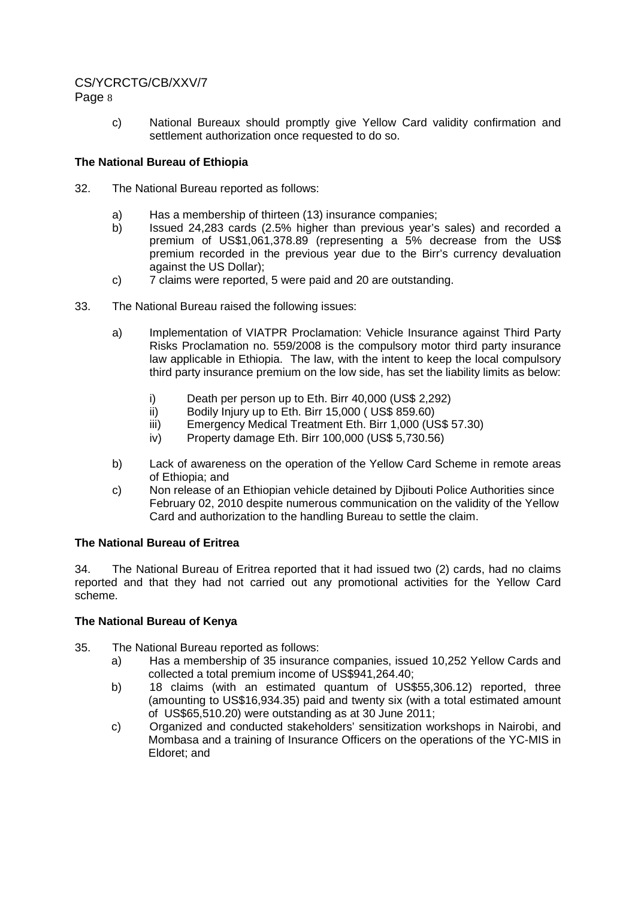# CS/YCRCTG/CB/XXV/7

Page 8

c) National Bureaux should promptly give Yellow Card validity confirmation and settlement authorization once requested to do so.

### **The National Bureau of Ethiopia**

- 32. The National Bureau reported as follows:
	- a) Has a membership of thirteen (13) insurance companies;
	- b) Issued 24,283 cards (2.5% higher than previous year's sales) and recorded a premium of US\$1,061,378.89 (representing a 5% decrease from the US\$ premium recorded in the previous year due to the Birr's currency devaluation against the US Dollar);
	- c) 7 claims were reported, 5 were paid and 20 are outstanding.
- 33. The National Bureau raised the following issues:
	- a) Implementation of VIATPR Proclamation: Vehicle Insurance against Third Party Risks Proclamation no. 559/2008 is the compulsory motor third party insurance law applicable in Ethiopia. The law, with the intent to keep the local compulsory third party insurance premium on the low side, has set the liability limits as below:
		- i) Death per person up to Eth. Birr 40,000 (US\$ 2,292)
		- ii) Bodily Injury up to Eth. Birr 15,000 ( US\$ 859.60)
		- iii) Emergency Medical Treatment Eth. Birr 1,000 (US\$ 57.30)
		- iv) Property damage Eth. Birr 100,000 (US\$ 5,730.56)
	- b) Lack of awareness on the operation of the Yellow Card Scheme in remote areas of Ethiopia; and
	- c) Non release of an Ethiopian vehicle detained by Djibouti Police Authorities since February 02, 2010 despite numerous communication on the validity of the Yellow Card and authorization to the handling Bureau to settle the claim.

## **The National Bureau of Eritrea**

34. The National Bureau of Eritrea reported that it had issued two (2) cards, had no claims reported and that they had not carried out any promotional activities for the Yellow Card scheme.

## **The National Bureau of Kenya**

- 35. The National Bureau reported as follows:
	- a) Has a membership of 35 insurance companies, issued 10,252 Yellow Cards and collected a total premium income of US\$941,264.40;
	- b) 18 claims (with an estimated quantum of US\$55,306.12) reported, three (amounting to US\$16,934.35) paid and twenty six (with a total estimated amount of US\$65,510.20) were outstanding as at 30 June 2011;
	- c) Organized and conducted stakeholders' sensitization workshops in Nairobi, and Mombasa and a training of Insurance Officers on the operations of the YC-MIS in Eldoret; and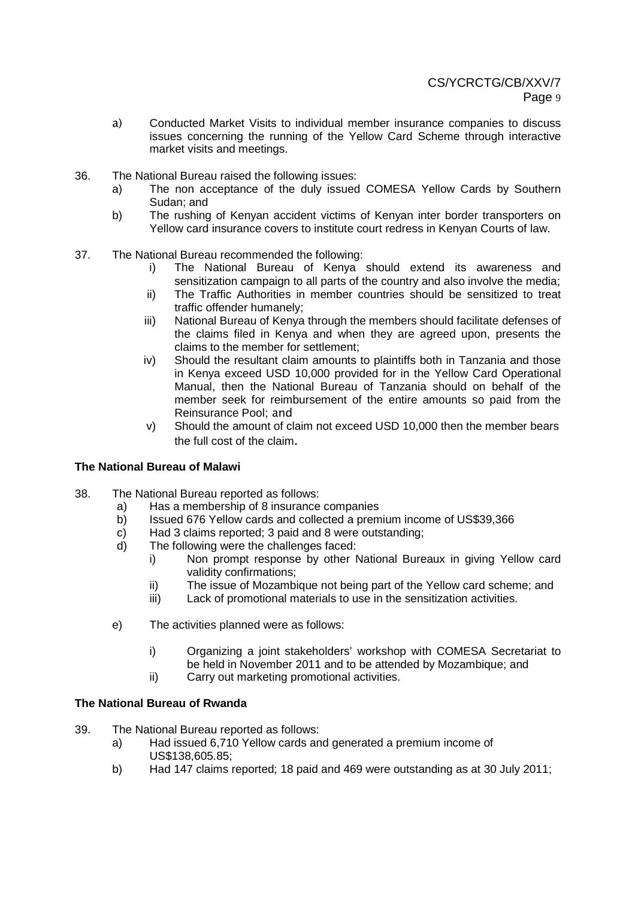- a) Conducted Market Visits to individual member insurance companies to discuss issues concerning the running of the Yellow Card Scheme through interactive market visits and meetings.
- 36. The National Bureau raised the following issues:
	- a) The non acceptance of the duly issued COMESA Yellow Cards by Southern Sudan; and
	- b) The rushing of Kenyan accident victims of Kenyan inter border transporters on Yellow card insurance covers to institute court redress in Kenyan Courts of law.
- 37. The National Bureau recommended the following:
	- i) The National Bureau of Kenya should extend its awareness and sensitization campaign to all parts of the country and also involve the media;
	- ii) The Traffic Authorities in member countries should be sensitized to treat traffic offender humanely;
	- iii) National Bureau of Kenya through the members should facilitate defenses of the claims filed in Kenya and when they are agreed upon, presents the claims to the member for settlement;
	- iv) Should the resultant claim amounts to plaintiffs both in Tanzania and those in Kenya exceed USD 10,000 provided for in the Yellow Card Operational Manual, then the National Bureau of Tanzania should on behalf of the member seek for reimbursement of the entire amounts so paid from the Reinsurance Pool; and
	- v) Should the amount of claim not exceed USD 10,000 then the member bears the full cost of the claim.

## **The National Bureau of Malawi**

- 38. The National Bureau reported as follows:
	- a) Has a membership of 8 insurance companies
	- b) Issued 676 Yellow cards and collected a premium income of US\$39,366
	- c) Had 3 claims reported; 3 paid and 8 were outstanding;
	- d) The following were the challenges faced:
		- i) Non prompt response by other National Bureaux in giving Yellow card validity confirmations;
		- ii) The issue of Mozambique not being part of the Yellow card scheme; and
		- iii) Lack of promotional materials to use in the sensitization activities.
	- e) The activities planned were as follows:
		- i) Organizing a joint stakeholders' workshop with COMESA Secretariat to be held in November 2011 and to be attended by Mozambique; and
		- ii) Carry out marketing promotional activities.

#### **The National Bureau of Rwanda**

- 39. The National Bureau reported as follows:
	- a) Had issued 6,710 Yellow cards and generated a premium income of US\$138,605.85;
	- b) Had 147 claims reported; 18 paid and 469 were outstanding as at 30 July 2011;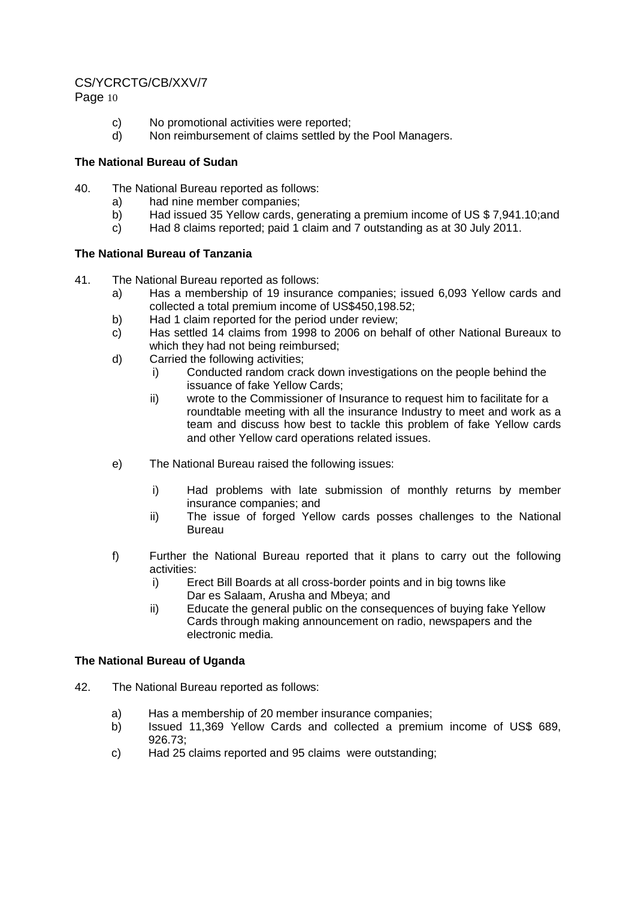## CS/YCRCTG/CB/XXV/7

Page 10

- c) No promotional activities were reported;
- d) Non reimbursement of claims settled by the Pool Managers.

## **The National Bureau of Sudan**

- 40. The National Bureau reported as follows:
	- a) had nine member companies;
	- b) Had issued 35 Yellow cards, generating a premium income of US \$ 7,941.10;and
	- c) Had 8 claims reported; paid 1 claim and 7 outstanding as at 30 July 2011.

## **The National Bureau of Tanzania**

- 41. The National Bureau reported as follows:
	- a) Has a membership of 19 insurance companies; issued 6,093 Yellow cards and collected a total premium income of US\$450,198.52;
	- b) Had 1 claim reported for the period under review;
	- c) Has settled 14 claims from 1998 to 2006 on behalf of other National Bureaux to which they had not being reimbursed;
	- d) Carried the following activities;
		- i) Conducted random crack down investigations on the people behind the issuance of fake Yellow Cards;
		- ii) wrote to the Commissioner of Insurance to request him to facilitate for a roundtable meeting with all the insurance Industry to meet and work as a team and discuss how best to tackle this problem of fake Yellow cards and other Yellow card operations related issues.
	- e) The National Bureau raised the following issues:
		- i) Had problems with late submission of monthly returns by member insurance companies; and
		- ii) The issue of forged Yellow cards posses challenges to the National Bureau
	- f) Further the National Bureau reported that it plans to carry out the following activities:
		- i) Erect Bill Boards at all cross-border points and in big towns like Dar es Salaam, Arusha and Mbeya; and
		- ii) Educate the general public on the consequences of buying fake Yellow Cards through making announcement on radio, newspapers and the electronic media.

# **The National Bureau of Uganda**

- 42. The National Bureau reported as follows:
	- a) Has a membership of 20 member insurance companies;
	- b) Issued 11,369 Yellow Cards and collected a premium income of US\$ 689, 926.73;
	- c) Had 25 claims reported and 95 claims were outstanding;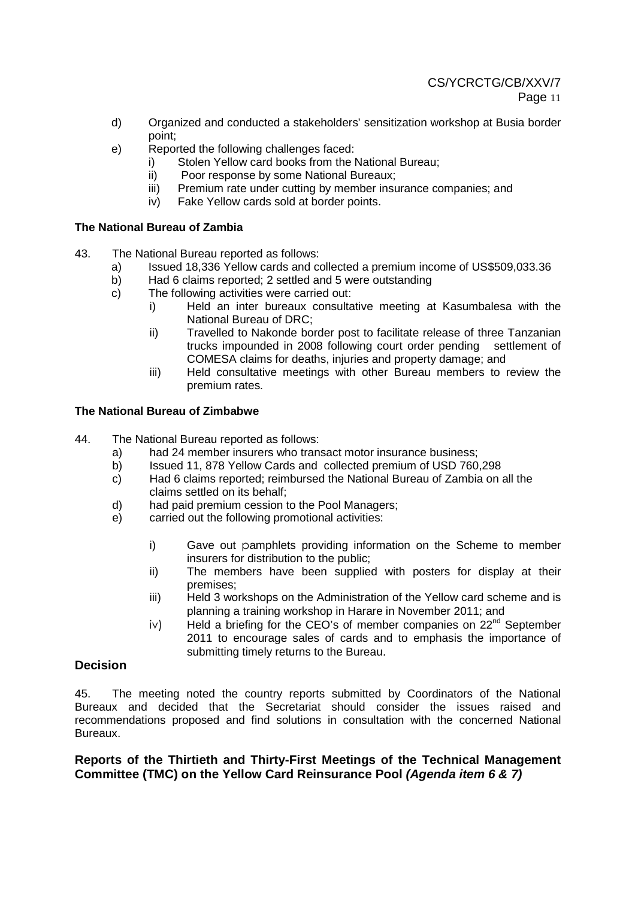- d) Organized and conducted a stakeholders' sensitization workshop at Busia border point;
- e) Reported the following challenges faced:
	- i) Stolen Yellow card books from the National Bureau;
	- ii) Poor response by some National Bureaux;
	- iii) Premium rate under cutting by member insurance companies; and
	- iv) Fake Yellow cards sold at border points.

#### **The National Bureau of Zambia**

- 43. The National Bureau reported as follows:
	- a) Issued 18,336 Yellow cards and collected a premium income of US\$509,033.36
	- b) Had 6 claims reported; 2 settled and 5 were outstanding
	- c) The following activities were carried out:
		- i) Held an inter bureaux consultative meeting at Kasumbalesa with the National Bureau of DRC;
		- ii) Travelled to Nakonde border post to facilitate release of three Tanzanian trucks impounded in 2008 following court order pending settlement of COMESA claims for deaths, injuries and property damage; and
		- iii) Held consultative meetings with other Bureau members to review the premium rates.

#### **The National Bureau of Zimbabwe**

44. The National Bureau reported as follows:

- a) had 24 member insurers who transact motor insurance business;
- b) Issued 11, 878 Yellow Cards and collected premium of USD 760,298
- c) Had 6 claims reported; reimbursed the National Bureau of Zambia on all the claims settled on its behalf;
- d) had paid premium cession to the Pool Managers;
- e) carried out the following promotional activities:
	- i) Gave out pamphlets providing information on the Scheme to member insurers for distribution to the public;
	- ii) The members have been supplied with posters for display at their premises;
	- iii) Held 3 workshops on the Administration of the Yellow card scheme and is planning a training workshop in Harare in November 2011; and
	- $iv$  Held a briefing for the CEO's of member companies on  $22^{nd}$  September 2011 to encourage sales of cards and to emphasis the importance of submitting timely returns to the Bureau.

## **Decision**

45. The meeting noted the country reports submitted by Coordinators of the National Bureaux and decided that the Secretariat should consider the issues raised and recommendations proposed and find solutions in consultation with the concerned National Bureaux.

**Reports of the Thirtieth and Thirty-First Meetings of the Technical Management Committee (TMC) on the Yellow Card Reinsurance Pool (Agenda item 6 & 7)**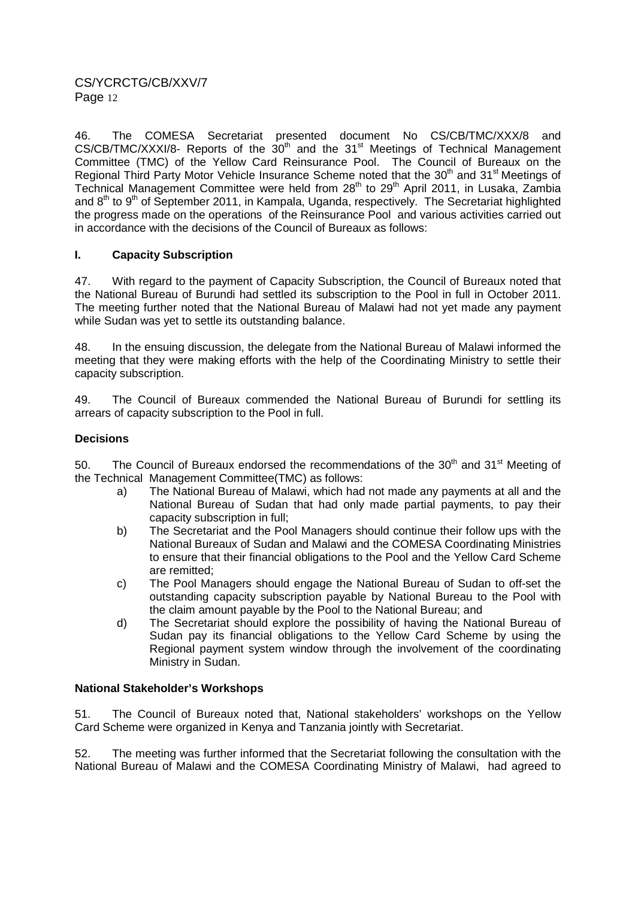46. The COMESA Secretariat presented document No CS/CB/TMC/XXX/8 and  $CS/CB/TMC/XXXI/8$ - Reports of the  $30<sup>th</sup>$  and the  $31<sup>st</sup>$  Meetings of Technical Management Committee (TMC) of the Yellow Card Reinsurance Pool. The Council of Bureaux on the Regional Third Party Motor Vehicle Insurance Scheme noted that the 30<sup>th</sup> and 31<sup>st</sup> Meetings of Technical Management Committee were held from 28<sup>th</sup> to 29<sup>th</sup> April 2011, in Lusaka, Zambia and  $8<sup>th</sup>$  to  $9<sup>th</sup>$  of September 2011, in Kampala, Uganda, respectively. The Secretariat highlighted the progress made on the operations of the Reinsurance Pool and various activities carried out in accordance with the decisions of the Council of Bureaux as follows:

## **I. Capacity Subscription**

47. With regard to the payment of Capacity Subscription, the Council of Bureaux noted that the National Bureau of Burundi had settled its subscription to the Pool in full in October 2011. The meeting further noted that the National Bureau of Malawi had not yet made any payment while Sudan was yet to settle its outstanding balance.

48. In the ensuing discussion, the delegate from the National Bureau of Malawi informed the meeting that they were making efforts with the help of the Coordinating Ministry to settle their capacity subscription.

49. The Council of Bureaux commended the National Bureau of Burundi for settling its arrears of capacity subscription to the Pool in full.

## **Decisions**

50. The Council of Bureaux endorsed the recommendations of the  $30<sup>th</sup>$  and  $31<sup>st</sup>$  Meeting of the Technical Management Committee(TMC) as follows:

- a) The National Bureau of Malawi, which had not made any payments at all and the National Bureau of Sudan that had only made partial payments, to pay their capacity subscription in full;
- b) The Secretariat and the Pool Managers should continue their follow ups with the National Bureaux of Sudan and Malawi and the COMESA Coordinating Ministries to ensure that their financial obligations to the Pool and the Yellow Card Scheme are remitted;
- c) The Pool Managers should engage the National Bureau of Sudan to off-set the outstanding capacity subscription payable by National Bureau to the Pool with the claim amount payable by the Pool to the National Bureau; and
- d) The Secretariat should explore the possibility of having the National Bureau of Sudan pay its financial obligations to the Yellow Card Scheme by using the Regional payment system window through the involvement of the coordinating Ministry in Sudan.

## **National Stakeholder's Workshops**

51. The Council of Bureaux noted that, National stakeholders' workshops on the Yellow Card Scheme were organized in Kenya and Tanzania jointly with Secretariat.

52. The meeting was further informed that the Secretariat following the consultation with the National Bureau of Malawi and the COMESA Coordinating Ministry of Malawi, had agreed to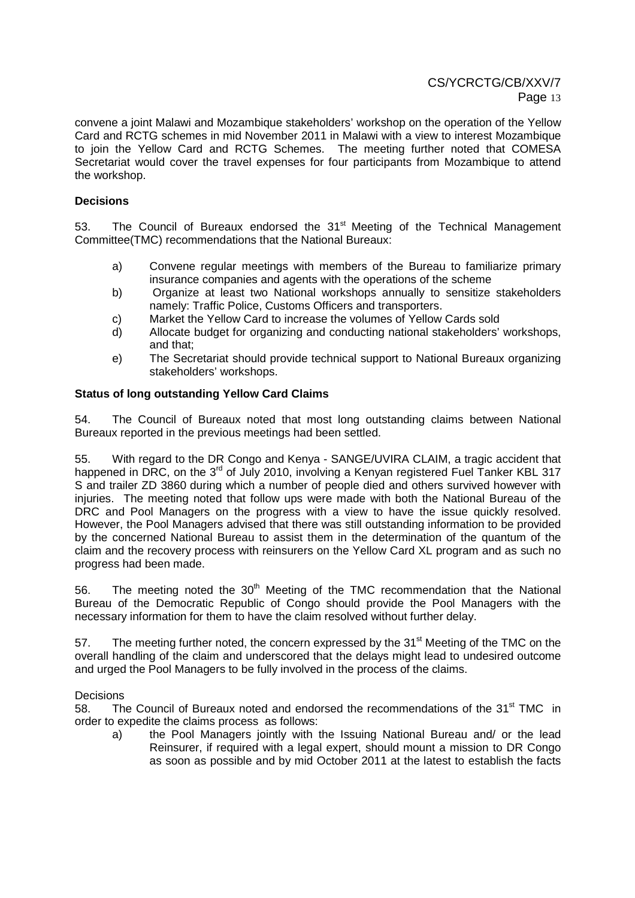convene a joint Malawi and Mozambique stakeholders' workshop on the operation of the Yellow Card and RCTG schemes in mid November 2011 in Malawi with a view to interest Mozambique to join the Yellow Card and RCTG Schemes. The meeting further noted that COMESA Secretariat would cover the travel expenses for four participants from Mozambique to attend the workshop.

### **Decisions**

53. The Council of Bureaux endorsed the 31<sup>st</sup> Meeting of the Technical Management Committee(TMC) recommendations that the National Bureaux:

- a) Convene regular meetings with members of the Bureau to familiarize primary insurance companies and agents with the operations of the scheme
- b) Organize at least two National workshops annually to sensitize stakeholders namely: Traffic Police, Customs Officers and transporters.
- c) Market the Yellow Card to increase the volumes of Yellow Cards sold
- d) Allocate budget for organizing and conducting national stakeholders' workshops, and that;
- e) The Secretariat should provide technical support to National Bureaux organizing stakeholders' workshops.

#### **Status of long outstanding Yellow Card Claims**

54. The Council of Bureaux noted that most long outstanding claims between National Bureaux reported in the previous meetings had been settled.

55. With regard to the DR Congo and Kenya - SANGE/UVIRA CLAIM, a tragic accident that happened in DRC, on the 3<sup>rd</sup> of July 2010, involving a Kenyan registered Fuel Tanker KBL 317 S and trailer ZD 3860 during which a number of people died and others survived however with injuries. The meeting noted that follow ups were made with both the National Bureau of the DRC and Pool Managers on the progress with a view to have the issue quickly resolved. However, the Pool Managers advised that there was still outstanding information to be provided by the concerned National Bureau to assist them in the determination of the quantum of the claim and the recovery process with reinsurers on the Yellow Card XL program and as such no progress had been made.

56. The meeting noted the  $30<sup>th</sup>$  Meeting of the TMC recommendation that the National Bureau of the Democratic Republic of Congo should provide the Pool Managers with the necessary information for them to have the claim resolved without further delay.

57. The meeting further noted, the concern expressed by the 31<sup>st</sup> Meeting of the TMC on the overall handling of the claim and underscored that the delays might lead to undesired outcome and urged the Pool Managers to be fully involved in the process of the claims.

#### **Decisions**

58. The Council of Bureaux noted and endorsed the recommendations of the 31<sup>st</sup> TMC in order to expedite the claims process as follows:

a) the Pool Managers jointly with the Issuing National Bureau and/ or the lead Reinsurer, if required with a legal expert, should mount a mission to DR Congo as soon as possible and by mid October 2011 at the latest to establish the facts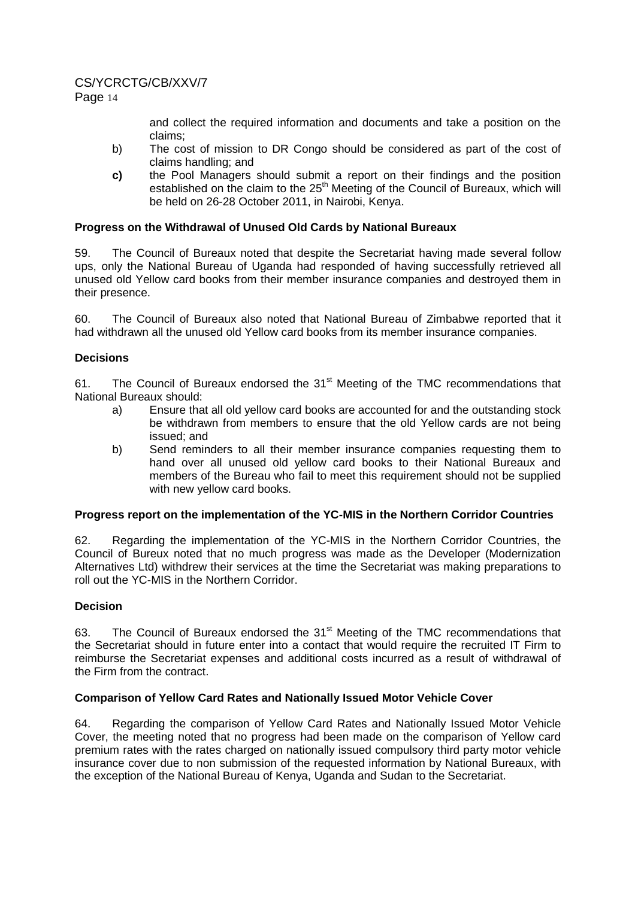# CS/YCRCTG/CB/XXV/7

and collect the required information and documents and take a position on the claims;

- b) The cost of mission to DR Congo should be considered as part of the cost of claims handling; and
- **c)** the Pool Managers should submit a report on their findings and the position established on the claim to the 25<sup>th</sup> Meeting of the Council of Bureaux, which will be held on 26-28 October 2011, in Nairobi, Kenya.

## **Progress on the Withdrawal of Unused Old Cards by National Bureaux**

59. The Council of Bureaux noted that despite the Secretariat having made several follow ups, only the National Bureau of Uganda had responded of having successfully retrieved all unused old Yellow card books from their member insurance companies and destroyed them in their presence.

60. The Council of Bureaux also noted that National Bureau of Zimbabwe reported that it had withdrawn all the unused old Yellow card books from its member insurance companies.

## **Decisions**

61. The Council of Bureaux endorsed the 31<sup>st</sup> Meeting of the TMC recommendations that National Bureaux should:

- a) Ensure that all old yellow card books are accounted for and the outstanding stock be withdrawn from members to ensure that the old Yellow cards are not being issued; and
- b) Send reminders to all their member insurance companies requesting them to hand over all unused old yellow card books to their National Bureaux and members of the Bureau who fail to meet this requirement should not be supplied with new yellow card books.

## **Progress report on the implementation of the YC-MIS in the Northern Corridor Countries**

62. Regarding the implementation of the YC-MIS in the Northern Corridor Countries, the Council of Bureux noted that no much progress was made as the Developer (Modernization Alternatives Ltd) withdrew their services at the time the Secretariat was making preparations to roll out the YC-MIS in the Northern Corridor.

## **Decision**

63. The Council of Bureaux endorsed the 31<sup>st</sup> Meeting of the TMC recommendations that the Secretariat should in future enter into a contact that would require the recruited IT Firm to reimburse the Secretariat expenses and additional costs incurred as a result of withdrawal of the Firm from the contract.

## **Comparison of Yellow Card Rates and Nationally Issued Motor Vehicle Cover**

64. Regarding the comparison of Yellow Card Rates and Nationally Issued Motor Vehicle Cover, the meeting noted that no progress had been made on the comparison of Yellow card premium rates with the rates charged on nationally issued compulsory third party motor vehicle insurance cover due to non submission of the requested information by National Bureaux, with the exception of the National Bureau of Kenya, Uganda and Sudan to the Secretariat.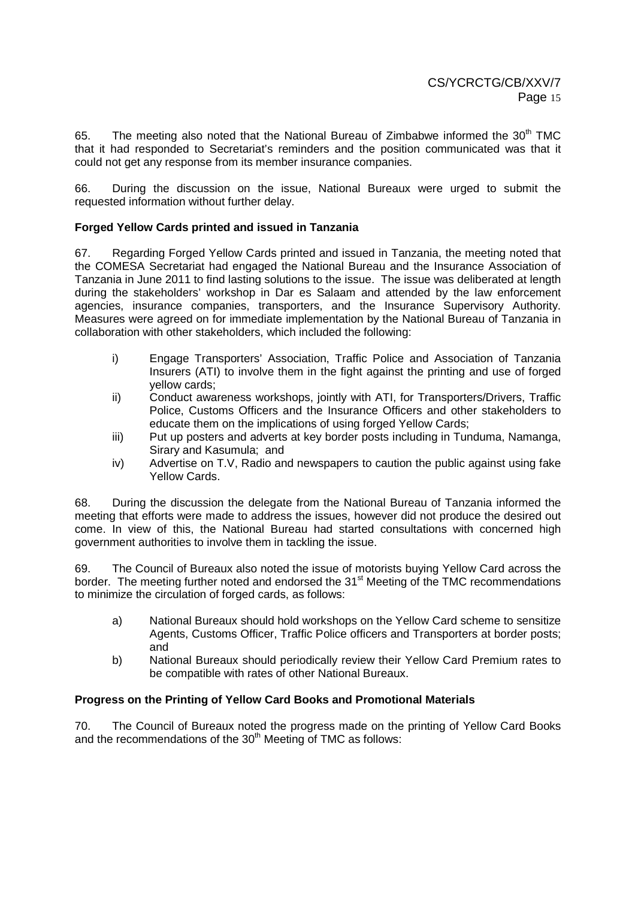65. The meeting also noted that the National Bureau of Zimbabwe informed the  $30<sup>th</sup>$  TMC that it had responded to Secretariat's reminders and the position communicated was that it could not get any response from its member insurance companies.

66. During the discussion on the issue, National Bureaux were urged to submit the requested information without further delay.

#### **Forged Yellow Cards printed and issued in Tanzania**

67. Regarding Forged Yellow Cards printed and issued in Tanzania, the meeting noted that the COMESA Secretariat had engaged the National Bureau and the Insurance Association of Tanzania in June 2011 to find lasting solutions to the issue. The issue was deliberated at length during the stakeholders' workshop in Dar es Salaam and attended by the law enforcement agencies, insurance companies, transporters, and the Insurance Supervisory Authority. Measures were agreed on for immediate implementation by the National Bureau of Tanzania in collaboration with other stakeholders, which included the following:

- i) Engage Transporters' Association, Traffic Police and Association of Tanzania Insurers (ATI) to involve them in the fight against the printing and use of forged yellow cards;
- ii) Conduct awareness workshops, jointly with ATI, for Transporters/Drivers, Traffic Police, Customs Officers and the Insurance Officers and other stakeholders to educate them on the implications of using forged Yellow Cards;
- iii) Put up posters and adverts at key border posts including in Tunduma, Namanga, Sirary and Kasumula; and
- iv) Advertise on T.V, Radio and newspapers to caution the public against using fake Yellow Cards.

68. During the discussion the delegate from the National Bureau of Tanzania informed the meeting that efforts were made to address the issues, however did not produce the desired out come. In view of this, the National Bureau had started consultations with concerned high government authorities to involve them in tackling the issue.

69. The Council of Bureaux also noted the issue of motorists buying Yellow Card across the border. The meeting further noted and endorsed the 31<sup>st</sup> Meeting of the TMC recommendations to minimize the circulation of forged cards, as follows:

- a) National Bureaux should hold workshops on the Yellow Card scheme to sensitize Agents, Customs Officer, Traffic Police officers and Transporters at border posts; and
- b) National Bureaux should periodically review their Yellow Card Premium rates to be compatible with rates of other National Bureaux.

#### **Progress on the Printing of Yellow Card Books and Promotional Materials**

70. The Council of Bureaux noted the progress made on the printing of Yellow Card Books and the recommendations of the 30<sup>th</sup> Meeting of TMC as follows: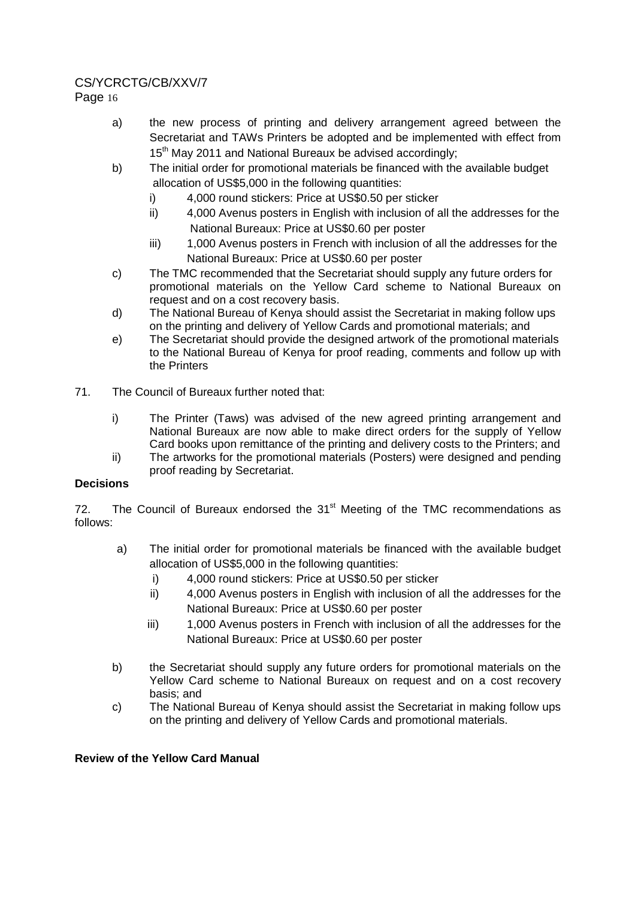# CS/YCRCTG/CB/XXV/7

Page 16

- a) the new process of printing and delivery arrangement agreed between the Secretariat and TAWs Printers be adopted and be implemented with effect from 15<sup>th</sup> May 2011 and National Bureaux be advised accordingly;
- b) The initial order for promotional materials be financed with the available budget allocation of US\$5,000 in the following quantities:
	- i) 4,000 round stickers: Price at US\$0.50 per sticker
	- ii) 4,000 Avenus posters in English with inclusion of all the addresses for the National Bureaux: Price at US\$0.60 per poster
	- iii) 1,000 Avenus posters in French with inclusion of all the addresses for the National Bureaux: Price at US\$0.60 per poster
- c) The TMC recommended that the Secretariat should supply any future orders for promotional materials on the Yellow Card scheme to National Bureaux on request and on a cost recovery basis.
- d) The National Bureau of Kenya should assist the Secretariat in making follow ups on the printing and delivery of Yellow Cards and promotional materials; and
- e) The Secretariat should provide the designed artwork of the promotional materials to the National Bureau of Kenya for proof reading, comments and follow up with the Printers
- 71. The Council of Bureaux further noted that:
	- i) The Printer (Taws) was advised of the new agreed printing arrangement and National Bureaux are now able to make direct orders for the supply of Yellow Card books upon remittance of the printing and delivery costs to the Printers; and
	- ii) The artworks for the promotional materials (Posters) were designed and pending proof reading by Secretariat.

## **Decisions**

72. The Council of Bureaux endorsed the  $31<sup>st</sup>$  Meeting of the TMC recommendations as follows:

- a) The initial order for promotional materials be financed with the available budget allocation of US\$5,000 in the following quantities:
	- i) 4,000 round stickers: Price at US\$0.50 per sticker
	- ii) 4,000 Avenus posters in English with inclusion of all the addresses for the National Bureaux: Price at US\$0.60 per poster
	- iii) 1,000 Avenus posters in French with inclusion of all the addresses for the National Bureaux: Price at US\$0.60 per poster
- b) the Secretariat should supply any future orders for promotional materials on the Yellow Card scheme to National Bureaux on request and on a cost recovery basis; and
- c) The National Bureau of Kenya should assist the Secretariat in making follow ups on the printing and delivery of Yellow Cards and promotional materials.

## **Review of the Yellow Card Manual**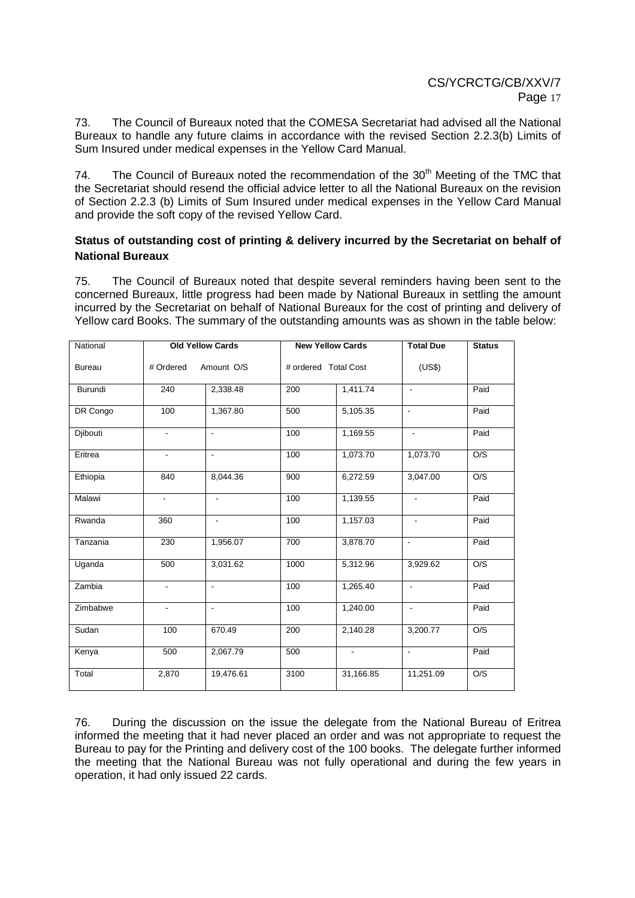73. The Council of Bureaux noted that the COMESA Secretariat had advised all the National Bureaux to handle any future claims in accordance with the revised Section 2.2.3(b) Limits of Sum Insured under medical expenses in the Yellow Card Manual.

74. The Council of Bureaux noted the recommendation of the  $30<sup>th</sup>$  Meeting of the TMC that the Secretariat should resend the official advice letter to all the National Bureaux on the revision of Section 2.2.3 (b) Limits of Sum Insured under medical expenses in the Yellow Card Manual and provide the soft copy of the revised Yellow Card.

## **Status of outstanding cost of printing & delivery incurred by the Secretariat on behalf of National Bureaux**

75. The Council of Bureaux noted that despite several reminders having been sent to the concerned Bureaux, little progress had been made by National Bureaux in settling the amount incurred by the Secretariat on behalf of National Bureaux for the cost of printing and delivery of Yellow card Books. The summary of the outstanding amounts was as shown in the table below:

| National      | <b>Old Yellow Cards</b>  |                          | <b>New Yellow Cards</b> |                          | <b>Total Due</b>         | <b>Status</b> |
|---------------|--------------------------|--------------------------|-------------------------|--------------------------|--------------------------|---------------|
| <b>Bureau</b> | # Ordered<br>Amount O/S  |                          | # ordered Total Cost    |                          | (US\$)                   |               |
| Burundi       | 240                      | 2,338.48                 | 200                     | 1,411.74                 | $\blacksquare$           | Paid          |
| DR Congo      | 100                      | 1,367.80                 | 500                     | 5,105.35                 | $\blacksquare$           | Paid          |
| Djibouti      | $\overline{\phantom{a}}$ | L,                       | 100                     | 1,169.55                 | $\blacksquare$           | Paid          |
| Eritrea       | $\overline{\phantom{a}}$ | $\blacksquare$           | 100                     | 1,073.70                 | 1,073.70                 | O/S           |
| Ethiopia      | 840                      | 8,044.36                 | 900                     | 6,272.59                 | 3,047.00                 | O/S           |
| Malawi        | $\frac{1}{2}$            | $\blacksquare$           | 100                     | 1,139.55                 | $\blacksquare$           | Paid          |
| Rwanda        | 360                      | $\overline{\phantom{a}}$ | 100                     | 1,157.03                 | $\overline{\phantom{a}}$ | Paid          |
| Tanzania      | 230                      | 1,956.07                 | 700                     | 3,878.70                 | $\blacksquare$           | Paid          |
| Uganda        | 500                      | 3,031.62                 | 1000                    | 5,312.96                 | 3,929.62                 | O/S           |
| Zambia        | $\overline{\phantom{a}}$ | $\blacksquare$           | 100                     | 1,265.40                 | $\blacksquare$           | Paid          |
| Zimbabwe      | $\blacksquare$           | $\blacksquare$           | 100                     | 1,240.00                 | $\blacksquare$           | Paid          |
| Sudan         | 100                      | 670.49                   | 200                     | 2,140.28                 | 3,200.77                 | O/S           |
| Kenya         | 500                      | 2,067.79                 | 500                     | $\overline{\phantom{a}}$ | $\blacksquare$           | Paid          |
| Total         | 2,870                    | 19,476.61                | 3100                    | 31,166.85                | 11,251.09                | O/S           |

76. During the discussion on the issue the delegate from the National Bureau of Eritrea informed the meeting that it had never placed an order and was not appropriate to request the Bureau to pay for the Printing and delivery cost of the 100 books. The delegate further informed the meeting that the National Bureau was not fully operational and during the few years in operation, it had only issued 22 cards.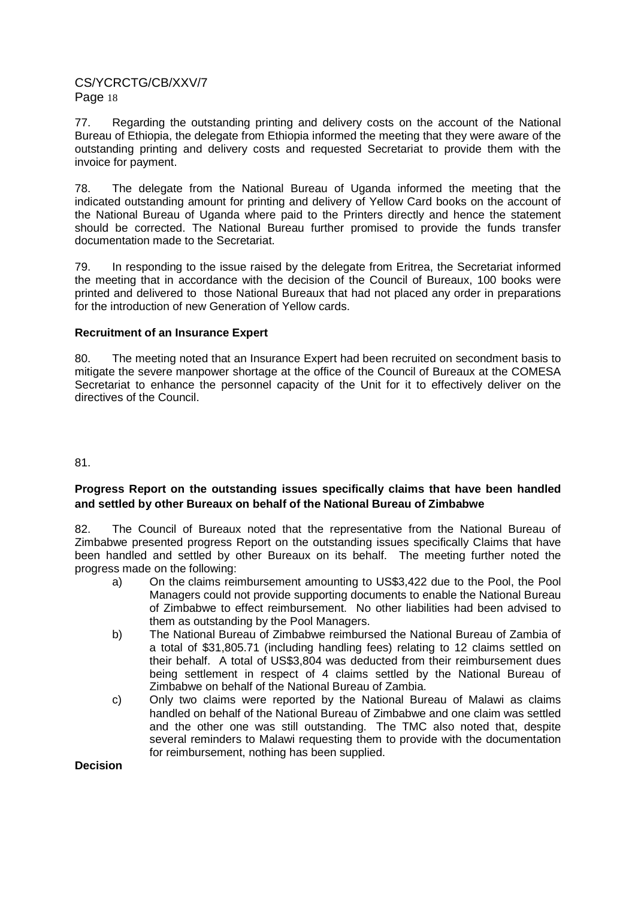77. Regarding the outstanding printing and delivery costs on the account of the National Bureau of Ethiopia, the delegate from Ethiopia informed the meeting that they were aware of the outstanding printing and delivery costs and requested Secretariat to provide them with the invoice for payment.

78. The delegate from the National Bureau of Uganda informed the meeting that the indicated outstanding amount for printing and delivery of Yellow Card books on the account of the National Bureau of Uganda where paid to the Printers directly and hence the statement should be corrected. The National Bureau further promised to provide the funds transfer documentation made to the Secretariat.

79. In responding to the issue raised by the delegate from Eritrea, the Secretariat informed the meeting that in accordance with the decision of the Council of Bureaux, 100 books were printed and delivered to those National Bureaux that had not placed any order in preparations for the introduction of new Generation of Yellow cards.

## **Recruitment of an Insurance Expert**

80. The meeting noted that an Insurance Expert had been recruited on secondment basis to mitigate the severe manpower shortage at the office of the Council of Bureaux at the COMESA Secretariat to enhance the personnel capacity of the Unit for it to effectively deliver on the directives of the Council.

### 81.

## **Progress Report on the outstanding issues specifically claims that have been handled and settled by other Bureaux on behalf of the National Bureau of Zimbabwe**

82. The Council of Bureaux noted that the representative from the National Bureau of Zimbabwe presented progress Report on the outstanding issues specifically Claims that have been handled and settled by other Bureaux on its behalf. The meeting further noted the progress made on the following:

- a) On the claims reimbursement amounting to US\$3,422 due to the Pool, the Pool Managers could not provide supporting documents to enable the National Bureau of Zimbabwe to effect reimbursement. No other liabilities had been advised to them as outstanding by the Pool Managers.
- b) The National Bureau of Zimbabwe reimbursed the National Bureau of Zambia of a total of \$31,805.71 (including handling fees) relating to 12 claims settled on their behalf. A total of US\$3,804 was deducted from their reimbursement dues being settlement in respect of 4 claims settled by the National Bureau of Zimbabwe on behalf of the National Bureau of Zambia.
- c) Only two claims were reported by the National Bureau of Malawi as claims handled on behalf of the National Bureau of Zimbabwe and one claim was settled and the other one was still outstanding. The TMC also noted that, despite several reminders to Malawi requesting them to provide with the documentation for reimbursement, nothing has been supplied.

#### **Decision**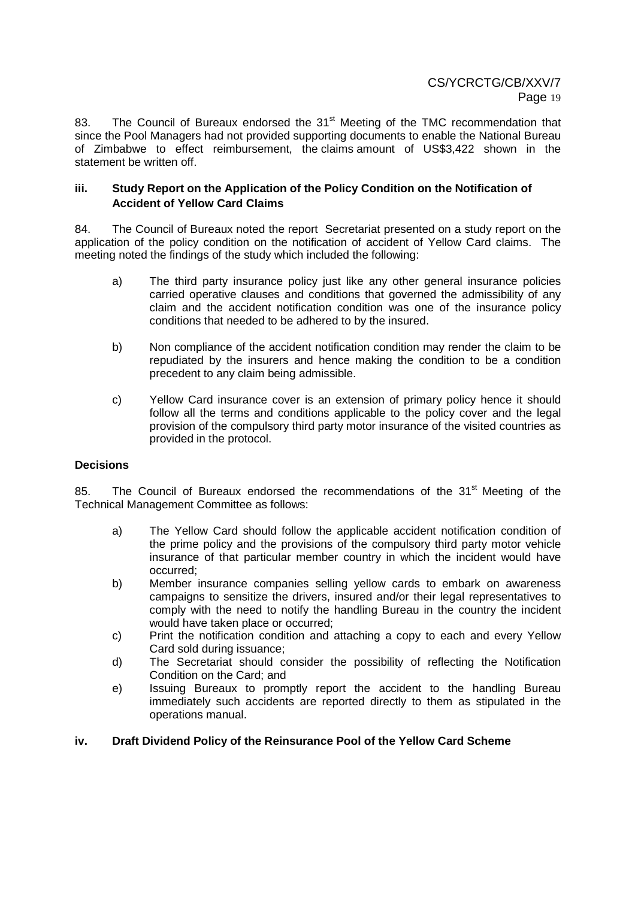83. The Council of Bureaux endorsed the 31<sup>st</sup> Meeting of the TMC recommendation that since the Pool Managers had not provided supporting documents to enable the National Bureau of Zimbabwe to effect reimbursement, the claims amount of US\$3,422 shown in the statement be written off.

### **iii. Study Report on the Application of the Policy Condition on the Notification of Accident of Yellow Card Claims**

84. The Council of Bureaux noted the report Secretariat presented on a study report on the application of the policy condition on the notification of accident of Yellow Card claims. The meeting noted the findings of the study which included the following:

- a) The third party insurance policy just like any other general insurance policies carried operative clauses and conditions that governed the admissibility of any claim and the accident notification condition was one of the insurance policy conditions that needed to be adhered to by the insured.
- b) Non compliance of the accident notification condition may render the claim to be repudiated by the insurers and hence making the condition to be a condition precedent to any claim being admissible.
- c) Yellow Card insurance cover is an extension of primary policy hence it should follow all the terms and conditions applicable to the policy cover and the legal provision of the compulsory third party motor insurance of the visited countries as provided in the protocol.

## **Decisions**

85. The Council of Bureaux endorsed the recommendations of the 31<sup>st</sup> Meeting of the Technical Management Committee as follows:

- a) The Yellow Card should follow the applicable accident notification condition of the prime policy and the provisions of the compulsory third party motor vehicle insurance of that particular member country in which the incident would have occurred;
- b) Member insurance companies selling yellow cards to embark on awareness campaigns to sensitize the drivers, insured and/or their legal representatives to comply with the need to notify the handling Bureau in the country the incident would have taken place or occurred;
- c) Print the notification condition and attaching a copy to each and every Yellow Card sold during issuance;
- d) The Secretariat should consider the possibility of reflecting the Notification Condition on the Card; and
- e) Issuing Bureaux to promptly report the accident to the handling Bureau immediately such accidents are reported directly to them as stipulated in the operations manual.

## **iv. Draft Dividend Policy of the Reinsurance Pool of the Yellow Card Scheme**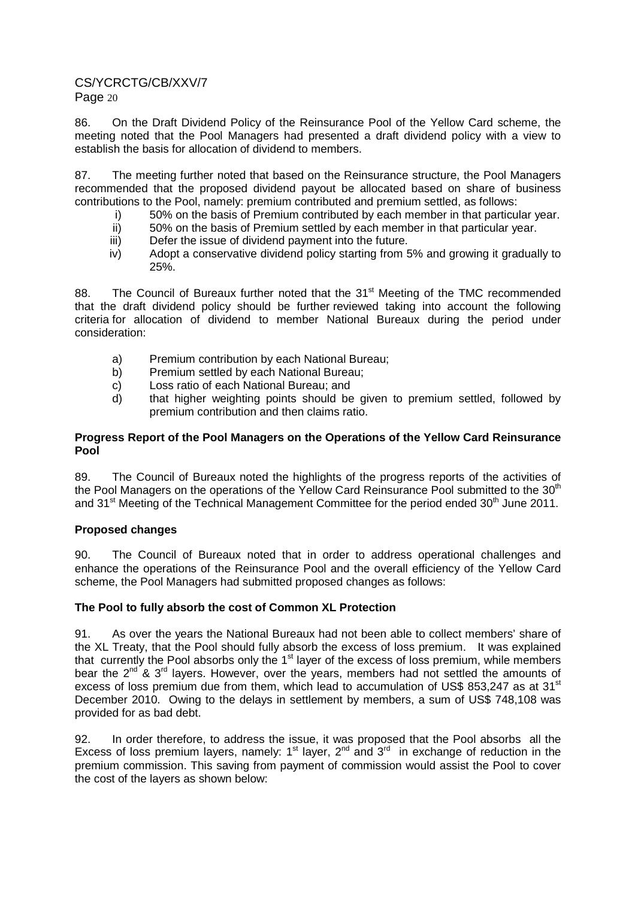86. On the Draft Dividend Policy of the Reinsurance Pool of the Yellow Card scheme, the meeting noted that the Pool Managers had presented a draft dividend policy with a view to establish the basis for allocation of dividend to members.

87. The meeting further noted that based on the Reinsurance structure, the Pool Managers recommended that the proposed dividend payout be allocated based on share of business contributions to the Pool, namely: premium contributed and premium settled, as follows:

- i) 50% on the basis of Premium contributed by each member in that particular year.<br>ii) 50% on the basis of Premium settled by each member in that particular year.
- 50% on the basis of Premium settled by each member in that particular year.
- iii) Defer the issue of dividend payment into the future.
- iv) Adopt a conservative dividend policy starting from 5% and growing it gradually to 25%.

88. The Council of Bureaux further noted that the 31<sup>st</sup> Meeting of the TMC recommended that the draft dividend policy should be further reviewed taking into account the following criteria for allocation of dividend to member National Bureaux during the period under consideration:

- a) Premium contribution by each National Bureau;
- b) Premium settled by each National Bureau;
- c) Loss ratio of each National Bureau; and
- d) that higher weighting points should be given to premium settled, followed by premium contribution and then claims ratio.

## **Progress Report of the Pool Managers on the Operations of the Yellow Card Reinsurance Pool**

89. The Council of Bureaux noted the highlights of the progress reports of the activities of the Pool Managers on the operations of the Yellow Card Reinsurance Pool submitted to the 30<sup>th</sup> and 31<sup>st</sup> Meeting of the Technical Management Committee for the period ended 30<sup>th</sup> June 2011.

## **Proposed changes**

90. The Council of Bureaux noted that in order to address operational challenges and enhance the operations of the Reinsurance Pool and the overall efficiency of the Yellow Card scheme, the Pool Managers had submitted proposed changes as follows:

## **The Pool to fully absorb the cost of Common XL Protection**

91. As over the years the National Bureaux had not been able to collect members' share of the XL Treaty, that the Pool should fully absorb the excess of loss premium. It was explained that currently the Pool absorbs only the 1<sup>st</sup> layer of the excess of loss premium, while members bear the  $2^{nd}$  &  $3^{rd}$  layers. However, over the years, members had not settled the amounts of excess of loss premium due from them, which lead to accumulation of US\$ 853.247 as at 31 $\mathrm{^{st}}$ December 2010. Owing to the delays in settlement by members, a sum of US\$ 748,108 was provided for as bad debt.

92. In order therefore, to address the issue, it was proposed that the Pool absorbs all the Excess of loss premium layers, namely:  $1<sup>st</sup>$  layer,  $2<sup>nd</sup>$  and  $3<sup>rd</sup>$  in exchange of reduction in the premium commission. This saving from payment of commission would assist the Pool to cover the cost of the layers as shown below: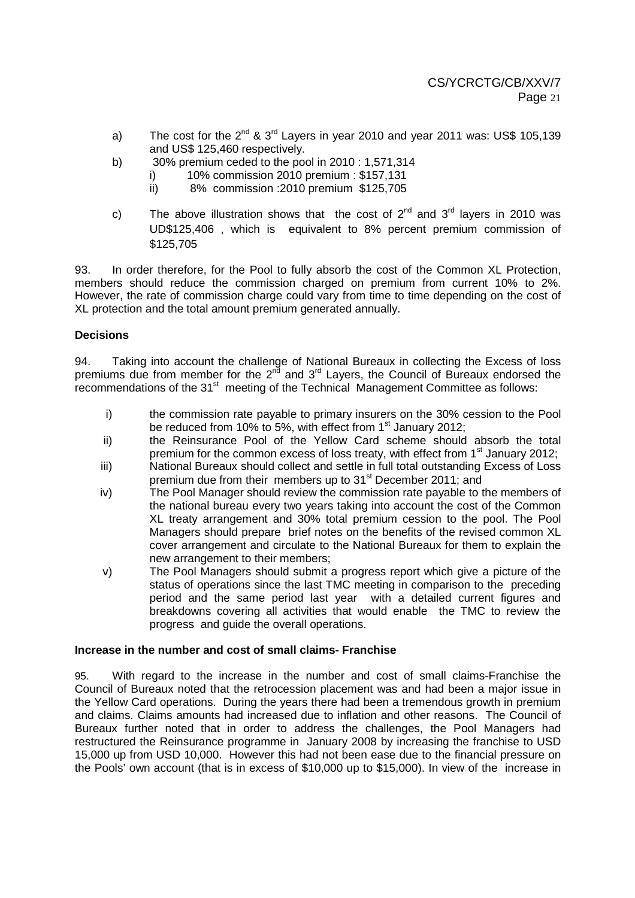- a) The cost for the  $2^{nd}$  &  $3^{rd}$  Layers in year 2010 and year 2011 was: US\$ 105.139 and US\$ 125,460 respectively.
- b) 30% premium ceded to the pool in 2010 : 1,571,314
	- i) 10% commission 2010 premium : \$157,131
		- ii) 8% commission :2010 premium \$125,705
- c) The above illustration shows that the cost of  $2^{nd}$  and  $3^{rd}$  layers in 2010 was UD\$125,406 , which is equivalent to 8% percent premium commission of \$125,705

93. In order therefore, for the Pool to fully absorb the cost of the Common XL Protection, members should reduce the commission charged on premium from current 10% to 2%. However, the rate of commission charge could vary from time to time depending on the cost of XL protection and the total amount premium generated annually.

## **Decisions**

94. Taking into account the challenge of National Bureaux in collecting the Excess of loss premiums due from member for the  $2^{nd}$  and  $3^{rd}$  Layers, the Council of Bureaux endorsed the recommendations of the 31<sup>st</sup> meeting of the Technical Management Committee as follows:

- i) the commission rate payable to primary insurers on the 30% cession to the Pool be reduced from 10% to 5%, with effect from  $1<sup>st</sup>$  January 2012;
- ii) the Reinsurance Pool of the Yellow Card scheme should absorb the total premium for the common excess of loss treaty, with effect from  $1<sup>st</sup>$  January 2012;
- iii) National Bureaux should collect and settle in full total outstanding Excess of Loss premium due from their members up to 31<sup>st</sup> December 2011; and
- iv) The Pool Manager should review the commission rate payable to the members of the national bureau every two years taking into account the cost of the Common XL treaty arrangement and 30% total premium cession to the pool. The Pool Managers should prepare brief notes on the benefits of the revised common XL cover arrangement and circulate to the National Bureaux for them to explain the new arrangement to their members;
- v) The Pool Managers should submit a progress report which give a picture of the status of operations since the last TMC meeting in comparison to the preceding period and the same period last year with a detailed current figures and breakdowns covering all activities that would enable the TMC to review the progress and guide the overall operations.

#### **Increase in the number and cost of small claims- Franchise**

95. With regard to the increase in the number and cost of small claims-Franchise the Council of Bureaux noted that the retrocession placement was and had been a major issue in the Yellow Card operations. During the years there had been a tremendous growth in premium and claims. Claims amounts had increased due to inflation and other reasons. The Council of Bureaux further noted that in order to address the challenges, the Pool Managers had restructured the Reinsurance programme in January 2008 by increasing the franchise to USD 15,000 up from USD 10,000. However this had not been ease due to the financial pressure on the Pools' own account (that is in excess of \$10,000 up to \$15,000). In view of the increase in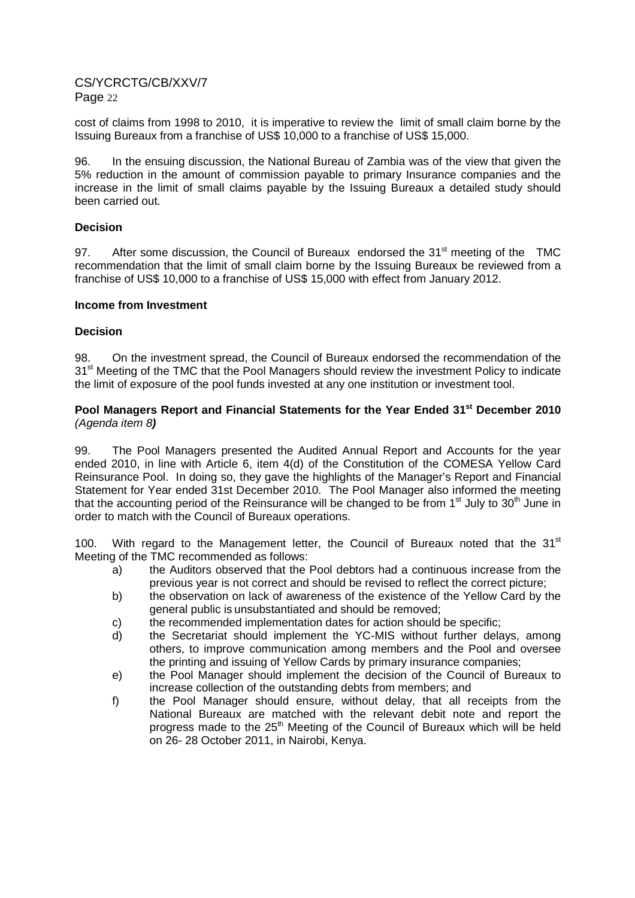cost of claims from 1998 to 2010, it is imperative to review the limit of small claim borne by the Issuing Bureaux from a franchise of US\$ 10,000 to a franchise of US\$ 15,000.

96. In the ensuing discussion, the National Bureau of Zambia was of the view that given the 5% reduction in the amount of commission payable to primary Insurance companies and the increase in the limit of small claims payable by the Issuing Bureaux a detailed study should been carried out.

#### **Decision**

97. After some discussion, the Council of Bureaux endorsed the 31<sup>st</sup> meeting of the TMC recommendation that the limit of small claim borne by the Issuing Bureaux be reviewed from a franchise of US\$ 10,000 to a franchise of US\$ 15,000 with effect from January 2012.

#### **Income from Investment**

#### **Decision**

98. On the investment spread, the Council of Bureaux endorsed the recommendation of the 31<sup>st</sup> Meeting of the TMC that the Pool Managers should review the investment Policy to indicate the limit of exposure of the pool funds invested at any one institution or investment tool.

#### **Pool Managers Report and Financial Statements for the Year Ended 31st December 2010**  (Agenda item 8**)**

99. The Pool Managers presented the Audited Annual Report and Accounts for the year ended 2010, in line with Article 6, item 4(d) of the Constitution of the COMESA Yellow Card Reinsurance Pool. In doing so, they gave the highlights of the Manager's Report and Financial Statement for Year ended 31st December 2010. The Pool Manager also informed the meeting that the accounting period of the Reinsurance will be changed to be from  $1<sup>st</sup>$  July to  $30<sup>th</sup>$  June in order to match with the Council of Bureaux operations.

100. With regard to the Management letter, the Council of Bureaux noted that the  $31<sup>st</sup>$ Meeting of the TMC recommended as follows:

- a) the Auditors observed that the Pool debtors had a continuous increase from the previous year is not correct and should be revised to reflect the correct picture;
- b) the observation on lack of awareness of the existence of the Yellow Card by the general public is unsubstantiated and should be removed;
- c) the recommended implementation dates for action should be specific;
- d) the Secretariat should implement the YC-MIS without further delays, among others, to improve communication among members and the Pool and oversee the printing and issuing of Yellow Cards by primary insurance companies;
- e) the Pool Manager should implement the decision of the Council of Bureaux to increase collection of the outstanding debts from members; and
- f) the Pool Manager should ensure, without delay, that all receipts from the National Bureaux are matched with the relevant debit note and report the progress made to the 25<sup>th</sup> Meeting of the Council of Bureaux which will be held on 26- 28 October 2011, in Nairobi, Kenya.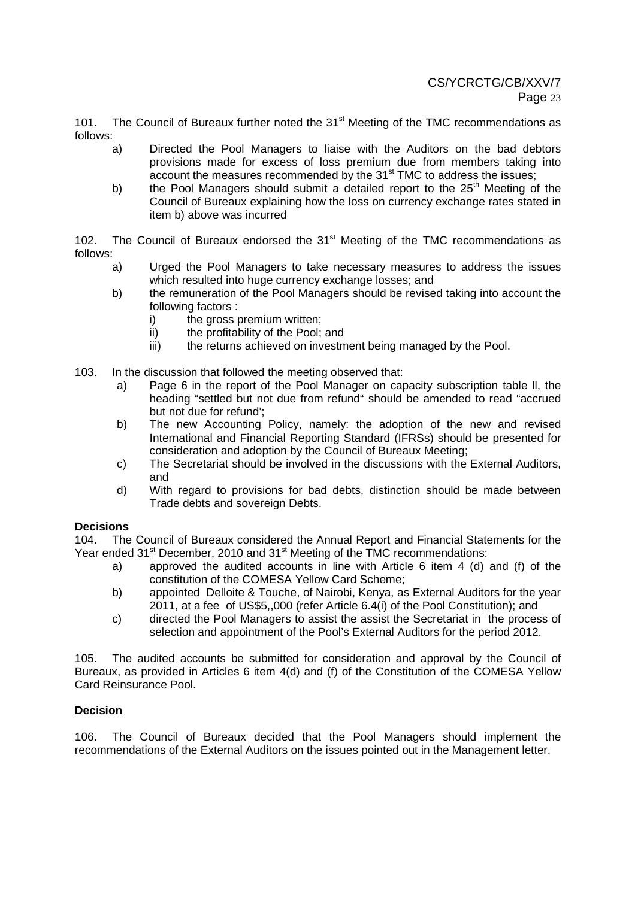101. The Council of Bureaux further noted the 31<sup>st</sup> Meeting of the TMC recommendations as follows:

- a) Directed the Pool Managers to liaise with the Auditors on the bad debtors provisions made for excess of loss premium due from members taking into account the measures recommended by the 31<sup>st</sup> TMC to address the issues;
- b) the Pool Managers should submit a detailed report to the  $25<sup>th</sup>$  Meeting of the Council of Bureaux explaining how the loss on currency exchange rates stated in item b) above was incurred

102. The Council of Bureaux endorsed the  $31<sup>st</sup>$  Meeting of the TMC recommendations as follows:

- a) Urged the Pool Managers to take necessary measures to address the issues which resulted into huge currency exchange losses; and
- b) the remuneration of the Pool Managers should be revised taking into account the following factors :
	- i) the gross premium written;
	- ii) the profitability of the Pool; and
	- iii) the returns achieved on investment being managed by the Pool.
- 103. In the discussion that followed the meeting observed that:
	- a) Page 6 in the report of the Pool Manager on capacity subscription table ll, the heading "settled but not due from refund" should be amended to read "accrued but not due for refund';
	- b) The new Accounting Policy, namely: the adoption of the new and revised International and Financial Reporting Standard (IFRSs) should be presented for consideration and adoption by the Council of Bureaux Meeting;
	- c) The Secretariat should be involved in the discussions with the External Auditors, and
	- d) With regard to provisions for bad debts, distinction should be made between Trade debts and sovereign Debts.

#### **Decisions**

104. The Council of Bureaux considered the Annual Report and Financial Statements for the Year ended  $31<sup>st</sup>$  December, 2010 and  $31<sup>st</sup>$  Meeting of the TMC recommendations:

- a) approved the audited accounts in line with Article 6 item 4 (d) and (f) of the constitution of the COMESA Yellow Card Scheme;
- b) appointed Delloite & Touche, of Nairobi, Kenya, as External Auditors for the year 2011, at a fee of US\$5,,000 (refer Article 6.4(i) of the Pool Constitution); and
- c) directed the Pool Managers to assist the assist the Secretariat in the process of selection and appointment of the Pool's External Auditors for the period 2012.

105. The audited accounts be submitted for consideration and approval by the Council of Bureaux, as provided in Articles 6 item 4(d) and (f) of the Constitution of the COMESA Yellow Card Reinsurance Pool.

#### **Decision**

106. The Council of Bureaux decided that the Pool Managers should implement the recommendations of the External Auditors on the issues pointed out in the Management letter.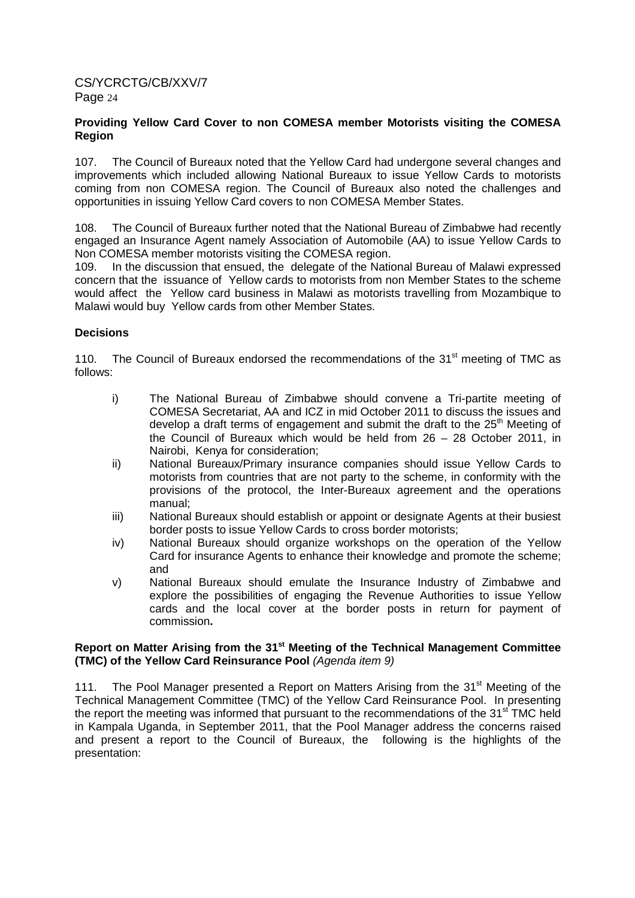### **Providing Yellow Card Cover to non COMESA member Motorists visiting the COMESA Region**

107. The Council of Bureaux noted that the Yellow Card had undergone several changes and improvements which included allowing National Bureaux to issue Yellow Cards to motorists coming from non COMESA region. The Council of Bureaux also noted the challenges and opportunities in issuing Yellow Card covers to non COMESA Member States.

108. The Council of Bureaux further noted that the National Bureau of Zimbabwe had recently engaged an Insurance Agent namely Association of Automobile (AA) to issue Yellow Cards to Non COMESA member motorists visiting the COMESA region.

109. In the discussion that ensued, the delegate of the National Bureau of Malawi expressed concern that theissuance of Yellow cards to motorists from non Member States to the scheme would affect the Yellow card business in Malawi as motorists travelling from Mozambique to Malawi would buy Yellow cards from other Member States.

## **Decisions**

110. The Council of Bureaux endorsed the recommendations of the 31<sup>st</sup> meeting of TMC as follows:

- i) The National Bureau of Zimbabwe should convene a Tri-partite meeting of COMESA Secretariat, AA and ICZ in mid October 2011 to discuss the issues and develop a draft terms of engagement and submit the draft to the  $25<sup>th</sup>$  Meeting of the Council of Bureaux which would be held from 26 – 28 October 2011, in Nairobi, Kenya for consideration;
- ii) National Bureaux/Primary insurance companies should issue Yellow Cards to motorists from countries that are not party to the scheme, in conformity with the provisions of the protocol, the Inter-Bureaux agreement and the operations manual;
- iii) National Bureaux should establish or appoint or designate Agents at their busiest border posts to issue Yellow Cards to cross border motorists;
- iv) National Bureaux should organize workshops on the operation of the Yellow Card for insurance Agents to enhance their knowledge and promote the scheme; and
- v) National Bureaux should emulate the Insurance Industry of Zimbabwe and explore the possibilities of engaging the Revenue Authorities to issue Yellow cards and the local cover at the border posts in return for payment of commission**.**

#### **Report on Matter Arising from the 31st Meeting of the Technical Management Committee (TMC) of the Yellow Card Reinsurance Pool** (Agenda item 9)

111. The Pool Manager presented a Report on Matters Arising from the 31<sup>st</sup> Meeting of the Technical Management Committee (TMC) of the Yellow Card Reinsurance Pool. In presenting the report the meeting was informed that pursuant to the recommendations of the 31<sup>st</sup> TMC held in Kampala Uganda, in September 2011, that the Pool Manager address the concerns raised and present a report to the Council of Bureaux, the following is the highlights of the presentation: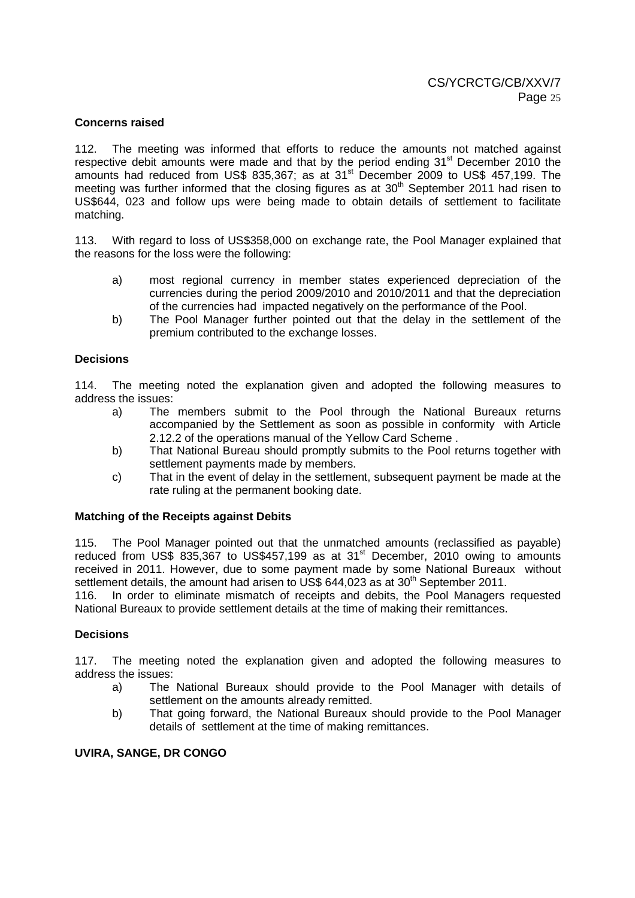#### **Concerns raised**

112. The meeting was informed that efforts to reduce the amounts not matched against respective debit amounts were made and that by the period ending  $31<sup>st</sup>$  December 2010 the amounts had reduced from US\$ 835,367; as at  $31<sup>st</sup>$  December 2009 to US\$ 457,199. The meeting was further informed that the closing figures as at  $30<sup>th</sup>$  September 2011 had risen to US\$644, 023 and follow ups were being made to obtain details of settlement to facilitate matching.

113. With regard to loss of US\$358,000 on exchange rate, the Pool Manager explained that the reasons for the loss were the following:

- a) most regional currency in member states experienced depreciation of the currencies during the period 2009/2010 and 2010/2011 and that the depreciation of the currencies had impacted negatively on the performance of the Pool.
- b) The Pool Manager further pointed out that the delay in the settlement of the premium contributed to the exchange losses.

#### **Decisions**

114. The meeting noted the explanation given and adopted the following measures to address the issues:

- a) The members submit to the Pool through the National Bureaux returns accompanied by the Settlement as soon as possible in conformity with Article 2.12.2 of the operations manual of the Yellow Card Scheme .
- b) That National Bureau should promptly submits to the Pool returns together with settlement payments made by members.
- c) That in the event of delay in the settlement, subsequent payment be made at the rate ruling at the permanent booking date.

#### **Matching of the Receipts against Debits**

115. The Pool Manager pointed out that the unmatched amounts (reclassified as payable) reduced from US\$ 835,367 to US\$457,199 as at 31<sup>st</sup> December, 2010 owing to amounts received in 2011. However, due to some payment made by some National Bureaux without settlement details, the amount had arisen to US\$ 644,023 as at  $30<sup>th</sup>$  September 2011.

116. In order to eliminate mismatch of receipts and debits, the Pool Managers requested National Bureaux to provide settlement details at the time of making their remittances.

#### **Decisions**

117. The meeting noted the explanation given and adopted the following measures to address the issues:

- a) The National Bureaux should provide to the Pool Manager with details of settlement on the amounts already remitted.
- b) That going forward, the National Bureaux should provide to the Pool Manager details of settlement at the time of making remittances.

### **UVIRA, SANGE, DR CONGO**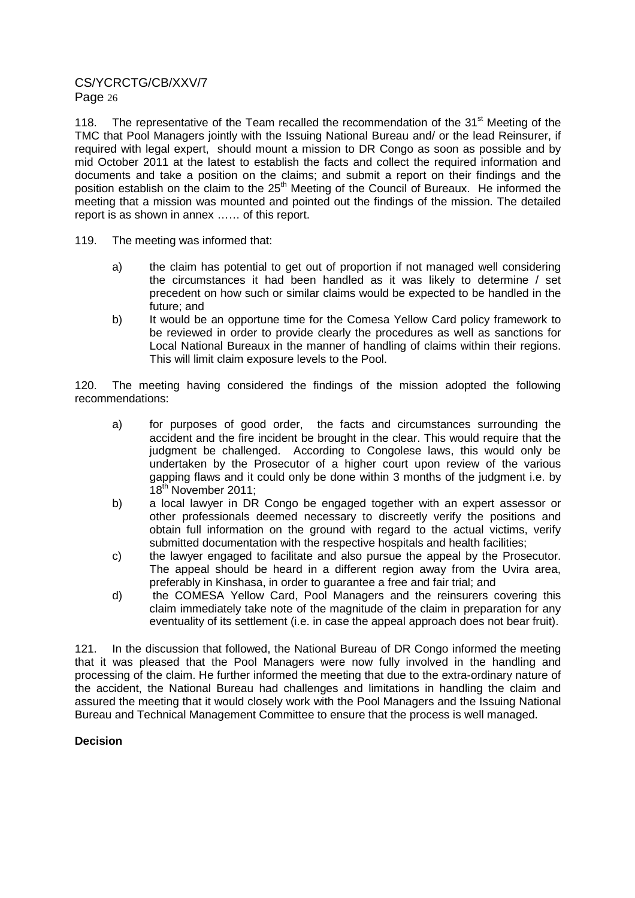118. The representative of the Team recalled the recommendation of the  $31<sup>st</sup>$  Meeting of the TMC that Pool Managers jointly with the Issuing National Bureau and/ or the lead Reinsurer, if required with legal expert, should mount a mission to DR Congo as soon as possible and by mid October 2011 at the latest to establish the facts and collect the required information and documents and take a position on the claims; and submit a report on their findings and the position establish on the claim to the 25<sup>th</sup> Meeting of the Council of Bureaux. He informed the meeting that a mission was mounted and pointed out the findings of the mission. The detailed report is as shown in annex …… of this report.

- 119. The meeting was informed that:
	- a) the claim has potential to get out of proportion if not managed well considering the circumstances it had been handled as it was likely to determine / set precedent on how such or similar claims would be expected to be handled in the future; and
	- b) It would be an opportune time for the Comesa Yellow Card policy framework to be reviewed in order to provide clearly the procedures as well as sanctions for Local National Bureaux in the manner of handling of claims within their regions. This will limit claim exposure levels to the Pool.

120. The meeting having considered the findings of the mission adopted the following recommendations:

- a) for purposes of good order, the facts and circumstances surrounding the accident and the fire incident be brought in the clear. This would require that the judgment be challenged. According to Congolese laws, this would only be undertaken by the Prosecutor of a higher court upon review of the various gapping flaws and it could only be done within 3 months of the judgment i.e. by 18<sup>th</sup> November 2011;
- b) a local lawyer in DR Congo be engaged together with an expert assessor or other professionals deemed necessary to discreetly verify the positions and obtain full information on the ground with regard to the actual victims, verify submitted documentation with the respective hospitals and health facilities;
- c) the lawyer engaged to facilitate and also pursue the appeal by the Prosecutor. The appeal should be heard in a different region away from the Uvira area, preferably in Kinshasa, in order to guarantee a free and fair trial; and
- d) the COMESA Yellow Card, Pool Managers and the reinsurers covering this claim immediately take note of the magnitude of the claim in preparation for any eventuality of its settlement (i.e. in case the appeal approach does not bear fruit).

121. In the discussion that followed, the National Bureau of DR Congo informed the meeting that it was pleased that the Pool Managers were now fully involved in the handling and processing of the claim. He further informed the meeting that due to the extra-ordinary nature of the accident, the National Bureau had challenges and limitations in handling the claim and assured the meeting that it would closely work with the Pool Managers and the Issuing National Bureau and Technical Management Committee to ensure that the process is well managed.

## **Decision**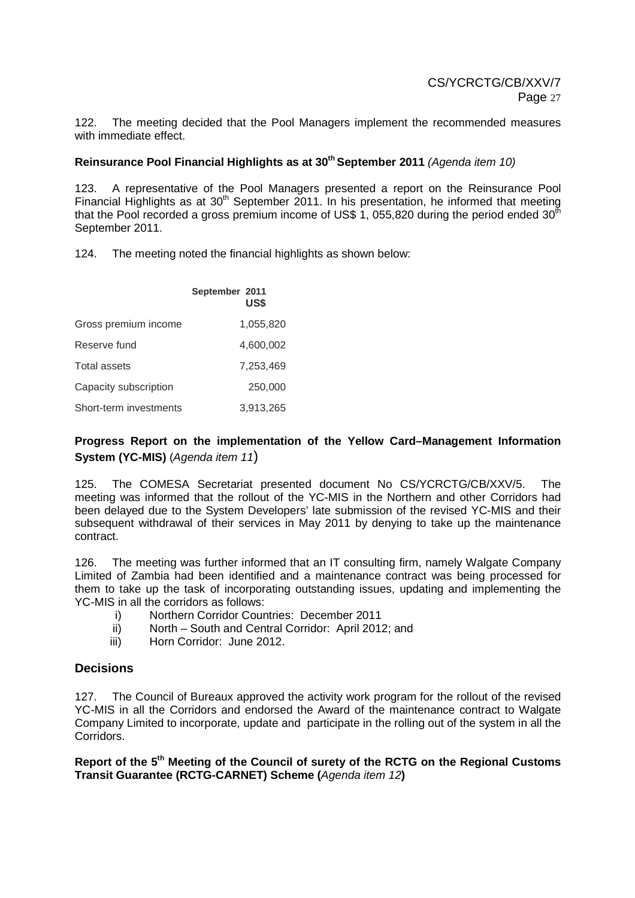122. The meeting decided that the Pool Managers implement the recommended measures with immediate effect.

## **Reinsurance Pool Financial Highlights as at 30th September 2011** (Agenda item 10)

123. A representative of the Pool Managers presented a report on the Reinsurance Pool Financial Highlights as at  $30<sup>th</sup>$  September 2011. In his presentation, he informed that meeting that the Pool recorded a gross premium income of US\$ 1, 055,820 during the period ended  $30<sup>th</sup>$ September 2011.

124. The meeting noted the financial highlights as shown below:

|                        | September 2011<br>US\$ |
|------------------------|------------------------|
| Gross premium income   | 1,055,820              |
| Reserve fund           | 4,600,002              |
| Total assets           | 7.253.469              |
| Capacity subscription  | 250,000                |
| Short-term investments | 3,913,265              |

## **Progress Report on the implementation of the Yellow Card–Management Information System (YC-MIS)** (Agenda item 11)

125. The COMESA Secretariat presented document No CS/YCRCTG/CB/XXV/5. The meeting was informed that the rollout of the YC-MIS in the Northern and other Corridors had been delayed due to the System Developers' late submission of the revised YC-MIS and their subsequent withdrawal of their services in May 2011 by denying to take up the maintenance contract.

126. The meeting was further informed that an IT consulting firm, namely Walgate Company Limited of Zambia had been identified and a maintenance contract was being processed for them to take up the task of incorporating outstanding issues, updating and implementing the YC-MIS in all the corridors as follows:

- i) Northern Corridor Countries: December 2011
- ii) North South and Central Corridor: April 2012; and
- iii) Horn Corridor: June 2012.

## **Decisions**

127. The Council of Bureaux approved the activity work program for the rollout of the revised YC-MIS in all the Corridors and endorsed the Award of the maintenance contract to Walgate Company Limited to incorporate, update and participate in the rolling out of the system in all the Corridors.

**Report of the 5th Meeting of the Council of surety of the RCTG on the Regional Customs Transit Guarantee (RCTG-CARNET) Scheme (**Agenda item 12**)**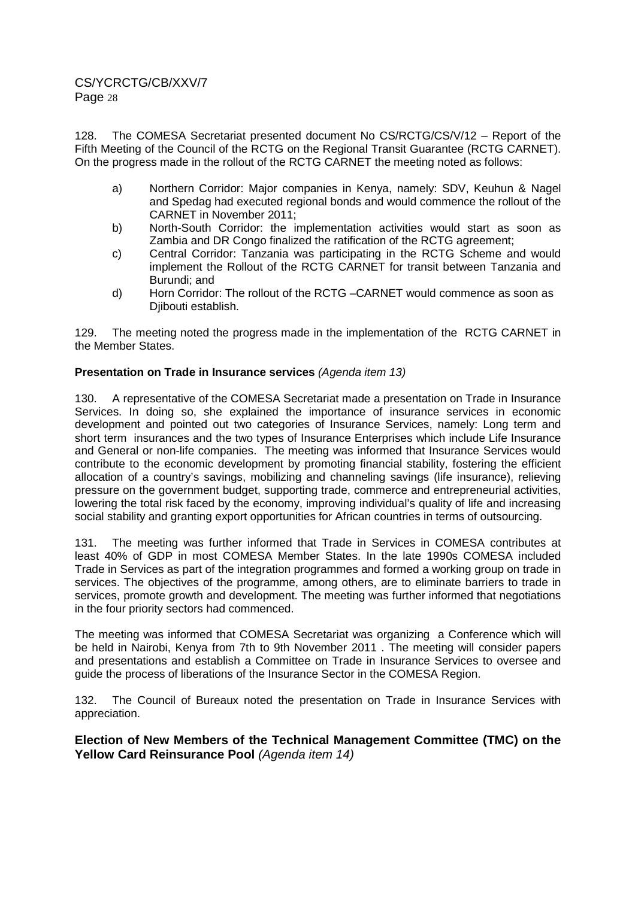128. The COMESA Secretariat presented document No CS/RCTG/CS/V/12 – Report of the Fifth Meeting of the Council of the RCTG on the Regional Transit Guarantee (RCTG CARNET). On the progress made in the rollout of the RCTG CARNET the meeting noted as follows:

- a) Northern Corridor: Major companies in Kenya, namely: SDV, Keuhun & Nagel and Spedag had executed regional bonds and would commence the rollout of the CARNET in November 2011;
- b) North-South Corridor: the implementation activities would start as soon as Zambia and DR Congo finalized the ratification of the RCTG agreement;
- c) Central Corridor: Tanzania was participating in the RCTG Scheme and would implement the Rollout of the RCTG CARNET for transit between Tanzania and Burundi; and
- d) Horn Corridor: The rollout of the RCTG –CARNET would commence as soon as Diibouti establish.

129. The meeting noted the progress made in the implementation of the RCTG CARNET in the Member States.

#### **Presentation on Trade in Insurance services** (Agenda item 13)

130. A representative of the COMESA Secretariat made a presentation on Trade in Insurance Services. In doing so, she explained the importance of insurance services in economic development and pointed out two categories of Insurance Services, namely: Long term and short term insurances and the two types of Insurance Enterprises which include Life Insurance and General or non-life companies. The meeting was informed that Insurance Services would contribute to the economic development by promoting financial stability, fostering the efficient allocation of a country's savings, mobilizing and channeling savings (life insurance), relieving pressure on the government budget, supporting trade, commerce and entrepreneurial activities, lowering the total risk faced by the economy, improving individual's quality of life and increasing social stability and granting export opportunities for African countries in terms of outsourcing.

131. The meeting was further informed that Trade in Services in COMESA contributes at least 40% of GDP in most COMESA Member States. In the late 1990s COMESA included Trade in Services as part of the integration programmes and formed a working group on trade in services. The objectives of the programme, among others, are to eliminate barriers to trade in services, promote growth and development. The meeting was further informed that negotiations in the four priority sectors had commenced.

The meeting was informed that COMESA Secretariat was organizing a Conference which will be held in Nairobi, Kenya from 7th to 9th November 2011 . The meeting will consider papers and presentations and establish a Committee on Trade in Insurance Services to oversee and guide the process of liberations of the Insurance Sector in the COMESA Region.

132. The Council of Bureaux noted the presentation on Trade in Insurance Services with appreciation.

**Election of New Members of the Technical Management Committee (TMC) on the Yellow Card Reinsurance Pool** (Agenda item 14)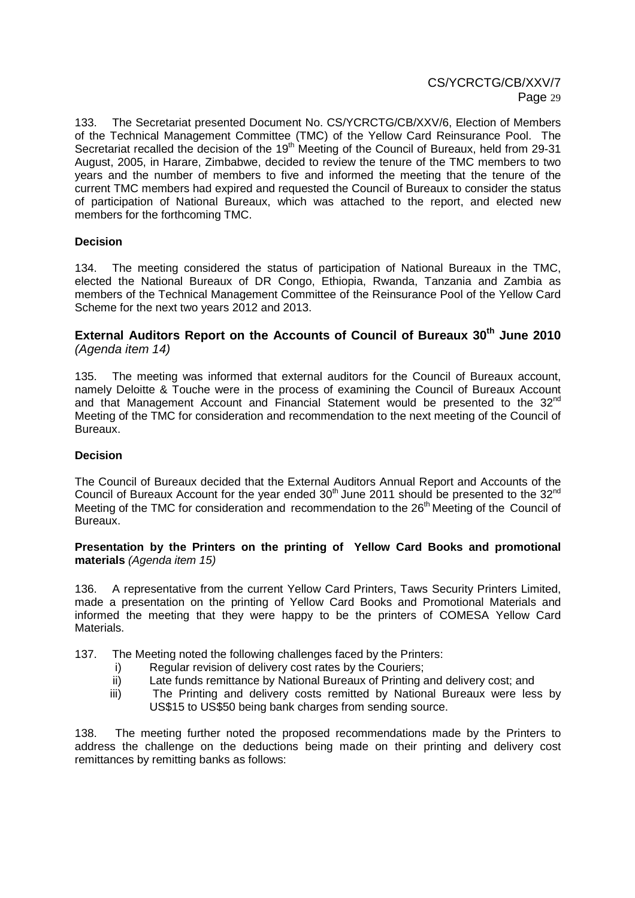133. The Secretariat presented Document No. CS/YCRCTG/CB/XXV/6, Election of Members of the Technical Management Committee (TMC) of the Yellow Card Reinsurance Pool.The Secretariat recalled the decision of the 19<sup>th</sup> Meeting of the Council of Bureaux, held from 29-31 August, 2005, in Harare, Zimbabwe, decided to review the tenure of the TMC members to two years and the number of members to five and informed the meeting that the tenure of the current TMC members had expired and requested the Council of Bureaux to consider the status of participation of National Bureaux, which was attached to the report, and elected new members for the forthcoming TMC.

#### **Decision**

134. The meeting considered the status of participation of National Bureaux in the TMC, elected the National Bureaux of DR Congo, Ethiopia, Rwanda, Tanzania and Zambia as members of the Technical Management Committee of the Reinsurance Pool of the Yellow Card Scheme for the next two years 2012 and 2013.

## **External Auditors Report on the Accounts of Council of Bureaux 30th June 2010**  (Agenda item 14)

135. The meeting was informed that external auditors for the Council of Bureaux account, namely Deloitte & Touche were in the process of examining the Council of Bureaux Account and that Management Account and Financial Statement would be presented to the  $32^{nd}$ Meeting of the TMC for consideration and recommendation to the next meeting of the Council of **Bureaux** 

#### **Decision**

The Council of Bureaux decided that the External Auditors Annual Report and Accounts of the Council of Bureaux Account for the year ended  $30<sup>th</sup>$  June 2011 should be presented to the  $32<sup>nd</sup>$ Meeting of the TMC for consideration and recommendation to the 26<sup>th</sup> Meeting of the Council of Bureaux.

#### **Presentation by the Printers on the printing of Yellow Card Books and promotional materials** (Agenda item 15)

136. A representative from the current Yellow Card Printers, Taws Security Printers Limited, made a presentation on the printing of Yellow Card Books and Promotional Materials and informed the meeting that they were happy to be the printers of COMESA Yellow Card Materials.

- 137. The Meeting noted the following challenges faced by the Printers:
	- i) Regular revision of delivery cost rates by the Couriers;
	- ii) Late funds remittance by National Bureaux of Printing and delivery cost; and
	- iii) The Printing and delivery costs remitted by National Bureaux were less by US\$15 to US\$50 being bank charges from sending source.

138. The meeting further noted the proposed recommendations made by the Printers to address the challenge on the deductions being made on their printing and delivery cost remittances by remitting banks as follows: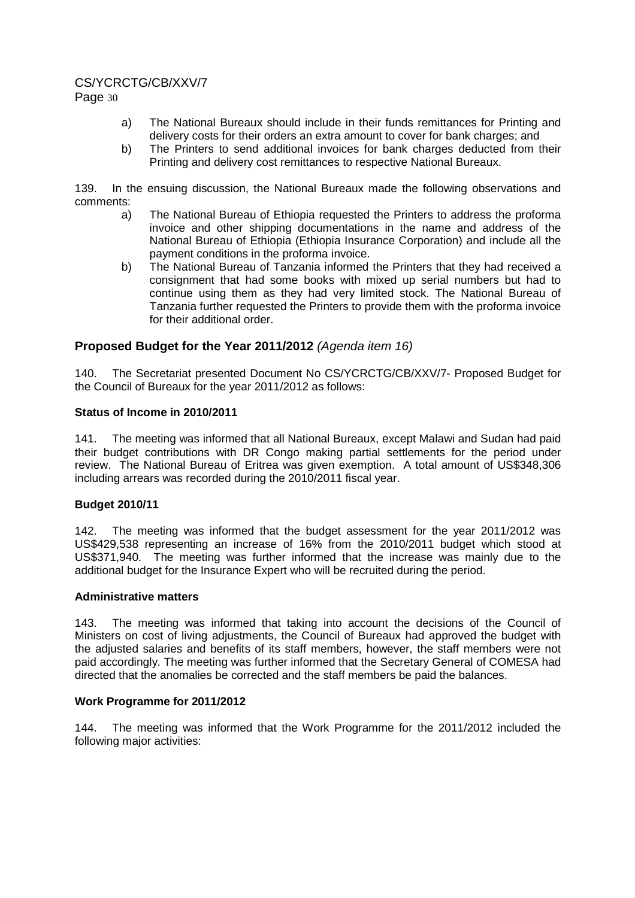# CS/YCRCTG/CB/XXV/7

Page 30

- a) The National Bureaux should include in their funds remittances for Printing and delivery costs for their orders an extra amount to cover for bank charges; and
- b) The Printers to send additional invoices for bank charges deducted from their Printing and delivery cost remittances to respective National Bureaux.

139. In the ensuing discussion, the National Bureaux made the following observations and comments:

- a) The National Bureau of Ethiopia requested the Printers to address the proforma invoice and other shipping documentations in the name and address of the National Bureau of Ethiopia (Ethiopia Insurance Corporation) and include all the payment conditions in the proforma invoice.
- b) The National Bureau of Tanzania informed the Printers that they had received a consignment that had some books with mixed up serial numbers but had to continue using them as they had very limited stock. The National Bureau of Tanzania further requested the Printers to provide them with the proforma invoice for their additional order.

## **Proposed Budget for the Year 2011/2012** (Agenda item 16)

140. The Secretariat presented Document No CS/YCRCTG/CB/XXV/7- Proposed Budget for the Council of Bureaux for the year 2011/2012 as follows:

#### **Status of Income in 2010/2011**

141. The meeting was informed that all National Bureaux, except Malawi and Sudan had paid their budget contributions with DR Congo making partial settlements for the period under review. The National Bureau of Eritrea was given exemption. A total amount of US\$348,306 including arrears was recorded during the 2010/2011 fiscal year.

## **Budget 2010/11**

142. The meeting was informed that the budget assessment for the year 2011/2012 was US\$429,538 representing an increase of 16% from the 2010/2011 budget which stood at US\$371,940. The meeting was further informed that the increase was mainly due to the additional budget for the Insurance Expert who will be recruited during the period.

#### **Administrative matters**

143. The meeting was informed that taking into account the decisions of the Council of Ministers on cost of living adjustments, the Council of Bureaux had approved the budget with the adjusted salaries and benefits of its staff members, however, the staff members were not paid accordingly. The meeting was further informed that the Secretary General of COMESA had directed that the anomalies be corrected and the staff members be paid the balances.

#### **Work Programme for 2011/2012**

144. The meeting was informed that the Work Programme for the 2011/2012 included the following major activities: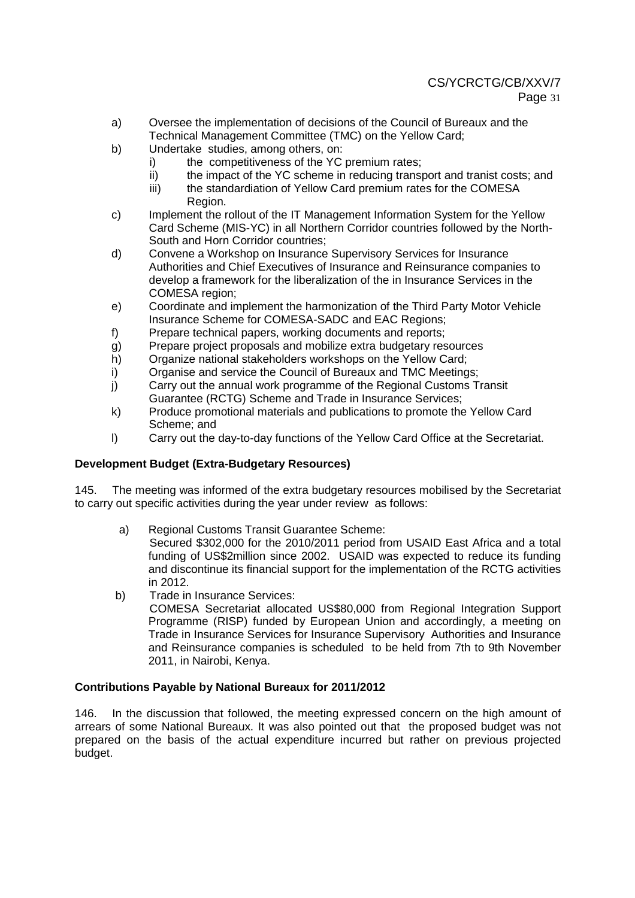- a) Oversee the implementation of decisions of the Council of Bureaux and the Technical Management Committee (TMC) on the Yellow Card;
- b) Undertake studies, among others, on:
	- i) the competitiveness of the YC premium rates;
	- ii) the impact of the YC scheme in reducing transport and tranist costs; and
	- iii) the standardiation of Yellow Card premium rates for the COMESA Region.
- c) Implement the rollout of the IT Management Information System for the Yellow Card Scheme (MIS-YC) in all Northern Corridor countries followed by the North-South and Horn Corridor countries;
- d) Convene a Workshop on Insurance Supervisory Services for Insurance Authorities and Chief Executives of Insurance and Reinsurance companies to develop a framework for the liberalization of the in Insurance Services in the COMESA region;
- e) Coordinate and implement the harmonization of the Third Party Motor Vehicle Insurance Scheme for COMESA-SADC and EAC Regions;
- f) Prepare technical papers, working documents and reports;
- g) Prepare project proposals and mobilize extra budgetary resources
- h) Organize national stakeholders workshops on the Yellow Card;
- i) Organise and service the Council of Bureaux and TMC Meetings;
- j) Carry out the annual work programme of the Regional Customs Transit Guarantee (RCTG) Scheme and Trade in Insurance Services;
- k) Produce promotional materials and publications to promote the Yellow Card Scheme; and
- l) Carry out the day-to-day functions of the Yellow Card Office at the Secretariat.

## **Development Budget (Extra-Budgetary Resources)**

145. The meeting was informed of the extra budgetary resources mobilised by the Secretariat to carry out specific activities during the year under review as follows:

a) Regional Customs Transit Guarantee Scheme:

Secured \$302,000 for the 2010/2011 period from USAID East Africa and a total funding of US\$2million since 2002. USAID was expected to reduce its funding and discontinue its financial support for the implementation of the RCTG activities in 2012.

- b) Trade in Insurance Services:
	- COMESA Secretariat allocated US\$80,000 from Regional Integration Support Programme (RISP) funded by European Union and accordingly, a meeting on Trade in Insurance Services for Insurance Supervisory Authorities and Insurance and Reinsurance companies is scheduled to be held from 7th to 9th November 2011, in Nairobi, Kenya.

#### **Contributions Payable by National Bureaux for 2011/2012**

146. In the discussion that followed, the meeting expressed concern on the high amount of arrears of some National Bureaux. It was also pointed out that the proposed budget was not prepared on the basis of the actual expenditure incurred but rather on previous projected budget.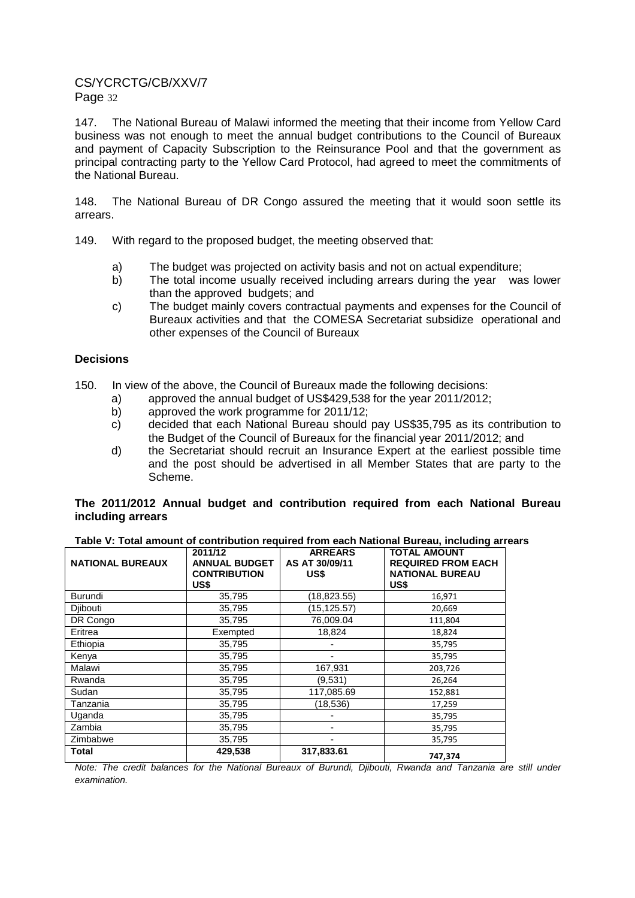147. The National Bureau of Malawi informed the meeting that their income from Yellow Card business was not enough to meet the annual budget contributions to the Council of Bureaux and payment of Capacity Subscription to the Reinsurance Pool and that the government as principal contracting party to the Yellow Card Protocol, had agreed to meet the commitments of the National Bureau.

148. The National Bureau of DR Congo assured the meeting that it would soon settle its arrears.

- 149. With regard to the proposed budget, the meeting observed that:
	- a) The budget was projected on activity basis and not on actual expenditure;
	- b) The total income usually received including arrears during the year was lower than the approved budgets; and
	- c) The budget mainly covers contractual payments and expenses for the Council of Bureaux activities and that the COMESA Secretariat subsidize operational and other expenses of the Council of Bureaux

#### **Decisions**

- 150. In view of the above, the Council of Bureaux made the following decisions:
	- a) approved the annual budget of US\$429,538 for the year 2011/2012;
	- b) approved the work programme for 2011/12;
	- c) decided that each National Bureau should pay US\$35,795 as its contribution to the Budget of the Council of Bureaux for the financial year 2011/2012; and
	- d) the Secretariat should recruit an Insurance Expert at the earliest possible time and the post should be advertised in all Member States that are party to the Scheme.

#### **The 2011/2012 Annual budget and contribution required from each National Bureau including arrears**

| <b>NATIONAL BUREAUX</b> | 2011/12<br><b>ANNUAL BUDGET</b><br><b>CONTRIBUTION</b><br>US\$ | <b>ARREARS</b><br>AS AT 30/09/11<br>US\$ | <b>TOTAL AMOUNT</b><br><b>REQUIRED FROM EACH</b><br><b>NATIONAL BUREAU</b><br>US\$ |
|-------------------------|----------------------------------------------------------------|------------------------------------------|------------------------------------------------------------------------------------|
| <b>Burundi</b>          | 35,795                                                         | (18, 823.55)                             | 16,971                                                                             |
| Diibouti                | 35,795                                                         | (15, 125.57)                             | 20,669                                                                             |
| DR Congo                | 35,795                                                         | 76,009.04                                | 111,804                                                                            |
| Eritrea                 | Exempted                                                       | 18,824                                   | 18,824                                                                             |
| Ethiopia                | 35,795                                                         |                                          | 35,795                                                                             |
| Kenya                   | 35,795                                                         |                                          | 35,795                                                                             |
| Malawi                  | 35,795                                                         | 167,931                                  | 203,726                                                                            |
| Rwanda                  | 35,795                                                         | (9.531)                                  | 26,264                                                                             |
| Sudan                   | 35,795                                                         | 117,085.69                               | 152,881                                                                            |
| Tanzania                | 35,795                                                         | (18,536)                                 | 17,259                                                                             |
| Uganda                  | 35,795                                                         |                                          | 35,795                                                                             |
| Zambia                  | 35,795                                                         |                                          | 35,795                                                                             |
| Zimbabwe                | 35,795                                                         |                                          | 35,795                                                                             |
| Total                   | 429,538                                                        | 317,833.61                               | 747,374                                                                            |

Note: The credit balances for the National Bureaux of Burundi, Djibouti, Rwanda and Tanzania are still under examination.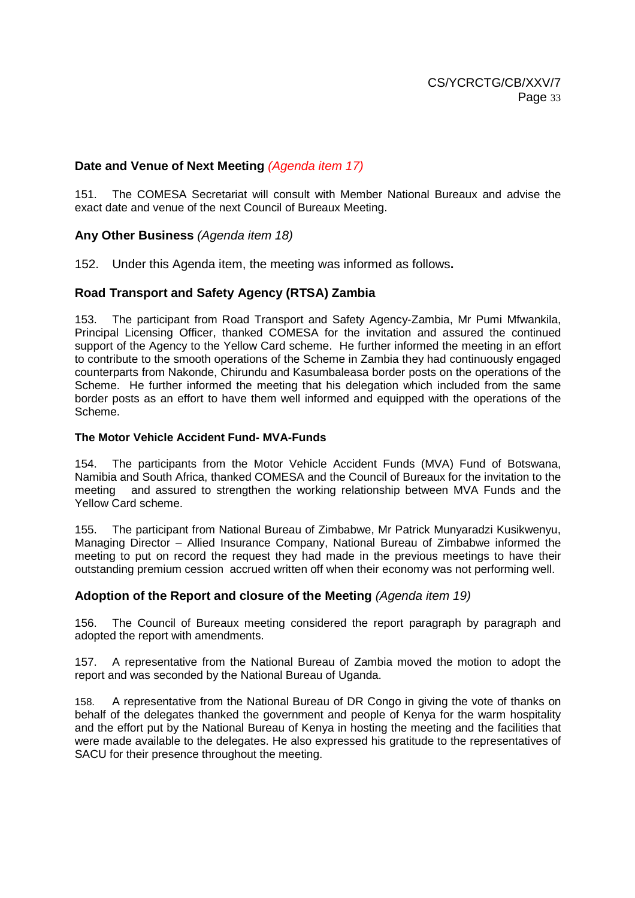# **Date and Venue of Next Meeting** (Agenda item 17)

151. The COMESA Secretariat will consult with Member National Bureaux and advise the exact date and venue of the next Council of Bureaux Meeting.

## **Any Other Business** (Agenda item 18)

152. Under this Agenda item, the meeting was informed as follows**.** 

## **Road Transport and Safety Agency (RTSA) Zambia**

153. The participant from Road Transport and Safety Agency-Zambia, Mr Pumi Mfwankila, Principal Licensing Officer, thanked COMESA for the invitation and assured the continued support of the Agency to the Yellow Card scheme. He further informed the meeting in an effort to contribute to the smooth operations of the Scheme in Zambia they had continuously engaged counterparts from Nakonde, Chirundu and Kasumbaleasa border posts on the operations of the Scheme. He further informed the meeting that his delegation which included from the same border posts as an effort to have them well informed and equipped with the operations of the Scheme.

#### **The Motor Vehicle Accident Fund- MVA-Funds**

154. The participants from the Motor Vehicle Accident Funds (MVA) Fund of Botswana, Namibia and South Africa, thanked COMESA and the Council of Bureaux for the invitation to the meeting and assured to strengthen the working relationship between MVA Funds and the Yellow Card scheme.

155. The participant from National Bureau of Zimbabwe, Mr Patrick Munyaradzi Kusikwenyu, Managing Director – Allied Insurance Company, National Bureau of Zimbabwe informed the meeting to put on record the request they had made in the previous meetings to have their outstanding premium cession accrued written off when their economy was not performing well.

#### **Adoption of the Report and closure of the Meeting** (Agenda item 19)

156. The Council of Bureaux meeting considered the report paragraph by paragraph and adopted the report with amendments.

157. A representative from the National Bureau of Zambia moved the motion to adopt the report and was seconded by the National Bureau of Uganda.

158. A representative from the National Bureau of DR Congo in giving the vote of thanks on behalf of the delegates thanked the government and people of Kenya for the warm hospitality and the effort put by the National Bureau of Kenya in hosting the meeting and the facilities that were made available to the delegates. He also expressed his gratitude to the representatives of SACU for their presence throughout the meeting.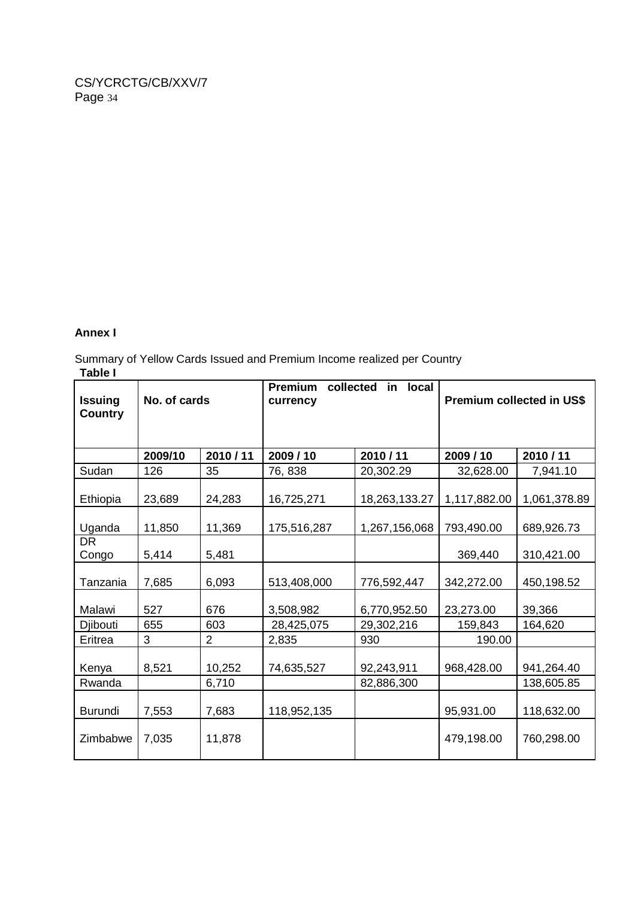### **Annex I**

Summary of Yellow Cards Issued and Premium Income realized per Country **Table I** 

| <b>Issuing</b><br><b>Country</b> | No. of cards |                | <b>Premium</b><br>collected<br>currency | in.<br><b>local</b> | Premium collected in US\$ |              |  |
|----------------------------------|--------------|----------------|-----------------------------------------|---------------------|---------------------------|--------------|--|
|                                  | 2009/10      | 2010/11        | 2009/10                                 | 2010/11             | 2009/10                   | 2010/11      |  |
| Sudan                            | 126          | 35             | 76, 838                                 | 20,302.29           | 32,628.00                 | 7,941.10     |  |
| Ethiopia                         | 23,689       | 24,283         | 16,725,271                              | 18,263,133.27       | 1,117,882.00              | 1,061,378.89 |  |
| Uganda                           | 11,850       | 11,369         | 175,516,287                             | 1,267,156,068       | 793,490.00                | 689,926.73   |  |
| <b>DR</b><br>Congo               | 5,414        | 5,481          |                                         |                     |                           | 310,421.00   |  |
| Tanzania                         | 7,685        | 6,093          | 513,408,000                             | 776,592,447         | 342,272.00                | 450,198.52   |  |
| Malawi                           | 527          | 676            | 3,508,982<br>6,770,952.50               |                     | 23,273.00                 | 39,366       |  |
| Djibouti                         | 655          | 603            | 28,425,075                              | 29,302,216          | 159,843                   | 164,620      |  |
| Eritrea                          | 3            | $\overline{2}$ | 2,835                                   | 930                 | 190.00                    |              |  |
| Kenya                            | 8,521        | 10,252         | 74,635,527                              | 92,243,911          | 968,428.00                | 941,264.40   |  |
| Rwanda                           |              | 6,710          |                                         | 82,886,300          |                           | 138,605.85   |  |
| Burundi                          | 7,553        | 7,683          | 118,952,135                             |                     | 95,931.00                 | 118,632.00   |  |
| Zimbabwe                         | 7,035        | 11,878         |                                         |                     | 479,198.00                | 760,298.00   |  |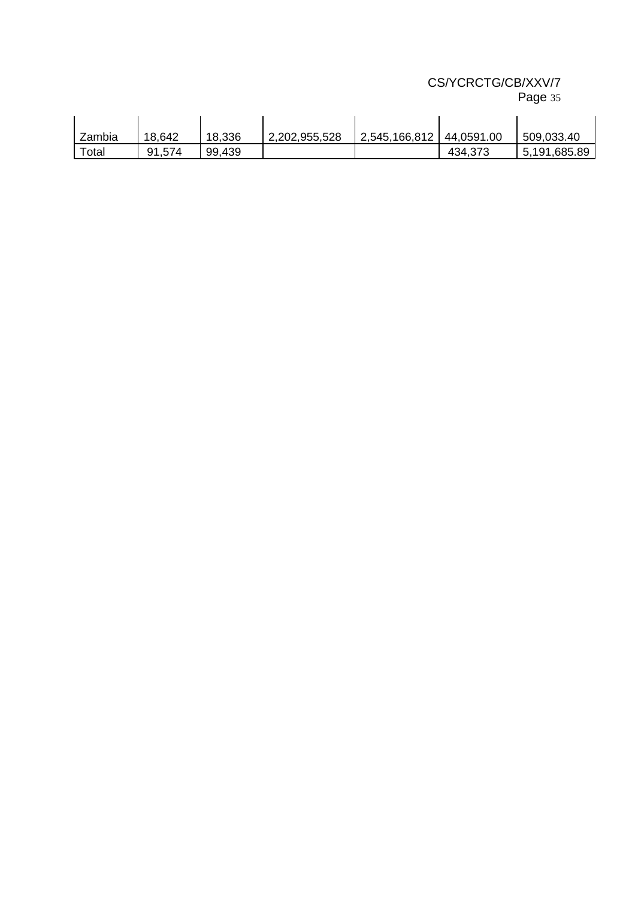| rage 35 |  |
|---------|--|
|         |  |

| Zambia | 18,642 | 18,336 | 2,202,955,528 | 2,545,166,812 | 44,0591.00 | 509,033.40   |
|--------|--------|--------|---------------|---------------|------------|--------------|
| Total  | 91,574 | 99,439 |               |               | 434,373    | 5,191,685.89 |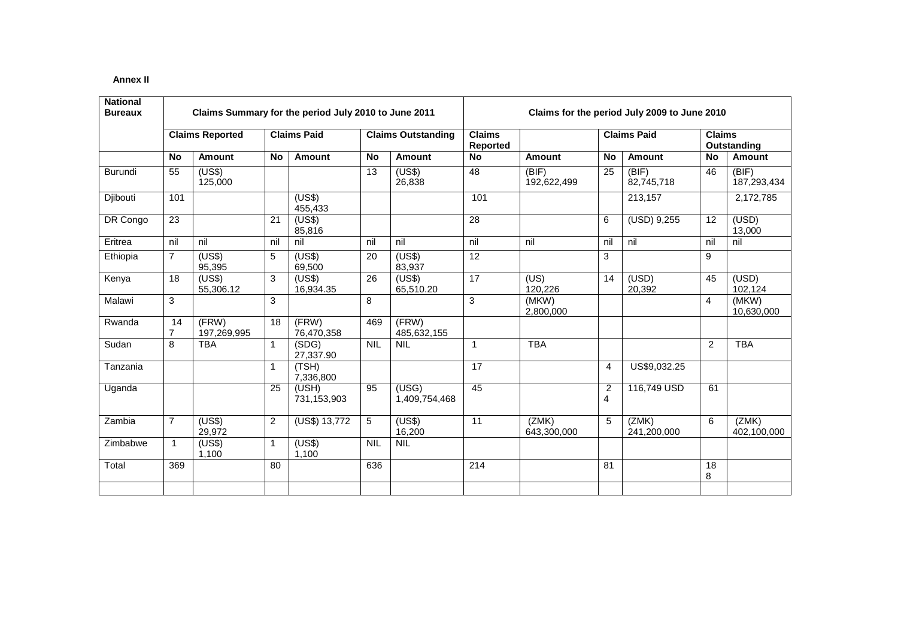#### **Annex II**

| <b>National</b><br><b>Bureaux</b> | Claims Summary for the period July 2010 to June 2011 |                        |           |                      |            |                           | Claims for the period July 2009 to June 2010 |                      |                                  |                      |                |                      |
|-----------------------------------|------------------------------------------------------|------------------------|-----------|----------------------|------------|---------------------------|----------------------------------------------|----------------------|----------------------------------|----------------------|----------------|----------------------|
|                                   |                                                      | <b>Claims Reported</b> |           | <b>Claims Paid</b>   |            | <b>Claims Outstanding</b> | <b>Claims</b><br>Reported                    | <b>Claims Paid</b>   |                                  | $\overline{Clains}$  | Outstanding    |                      |
|                                   | <b>No</b>                                            | Amount                 | <b>No</b> | <b>Amount</b>        | <b>No</b>  | Amount                    | <b>No</b>                                    | Amount               | <b>No</b>                        | Amount               | No             | Amount               |
| Burundi                           | 55                                                   | (US\$)<br>125.000      |           |                      | 13         | (US\$)<br>26,838          | 48                                           | (BIF)<br>192,622,499 | 25                               | (BIF)<br>82,745,718  | 46             | (BIF)<br>187,293,434 |
| Djibouti                          | 101                                                  |                        |           | (US\$)<br>455,433    |            |                           | 101                                          |                      |                                  | 213,157              |                | 2,172,785            |
| DR Congo                          | 23                                                   |                        | 21        | (US\$)<br>85,816     |            |                           | $\overline{28}$                              |                      | 6                                | (USD) 9,255          | 12             | (USD)<br>13,000      |
| Eritrea                           | nil                                                  | nil                    | nil       | nil                  | nil        | nil                       | nil                                          | nil                  | nil                              | nil                  | nil            | nil                  |
| Ethiopia                          | $\overline{7}$                                       | (US\$)<br>95,395       | 5         | (US\$)<br>69,500     | 20         | (US\$)<br>83,937          | 12                                           |                      | 3                                |                      | 9              |                      |
| Kenya                             | 18                                                   | (US\$)<br>55,306.12    | 3         | (US\$)<br>16,934.35  | 26         | (US\$)<br>65,510.20       | 17                                           | (US)<br>120,226      | 14                               | (USD)<br>20,392      | 45             | (USD)<br>102,124     |
| Malawi                            | 3                                                    |                        | 3         |                      | 8          |                           | 3                                            | (MKW)<br>2,800,000   |                                  |                      | $\overline{4}$ | (MKW)<br>10,630,000  |
| Rwanda                            | 14<br>$\overline{7}$                                 | (FRW)<br>197,269,995   | 18        | (FRW)<br>76,470,358  | 469        | (FRW)<br>485,632,155      |                                              |                      |                                  |                      |                |                      |
| Sudan                             | 8                                                    | <b>TBA</b>             | 1         | (SDG)<br>27,337.90   | <b>NIL</b> | <b>NIL</b>                | $\overline{1}$                               | <b>TBA</b>           |                                  |                      | 2              | <b>TBA</b>           |
| Tanzania                          |                                                      |                        |           | (TSH)<br>7,336,800   |            |                           | 17                                           |                      | $\overline{4}$                   | US\$9,032.25         |                |                      |
| Uganda                            |                                                      |                        | 25        | (USH)<br>731,153,903 | 95         | (USG)<br>1,409,754,468    | 45                                           |                      | $\overline{2}$<br>$\overline{4}$ | 116,749 USD          | 61             |                      |
| Zambia                            | $\overline{7}$                                       | (US\$)<br>29,972       | 2         | (US\$) 13,772        | 5          | (US\$)<br>16,200          | 11                                           | (ZMK)<br>643,300,000 | 5                                | (ZMK)<br>241,200,000 | 6              | (ZMK)<br>402,100,000 |
| Zimbabwe                          | $\mathbf 1$                                          | (US\$)<br>1,100        |           | (US\$)<br>1,100      | <b>NIL</b> | <b>NIL</b>                |                                              |                      |                                  |                      |                |                      |
| Total                             | 369                                                  |                        | 80        |                      | 636        |                           | 214                                          |                      | 81                               |                      | 18<br>8        |                      |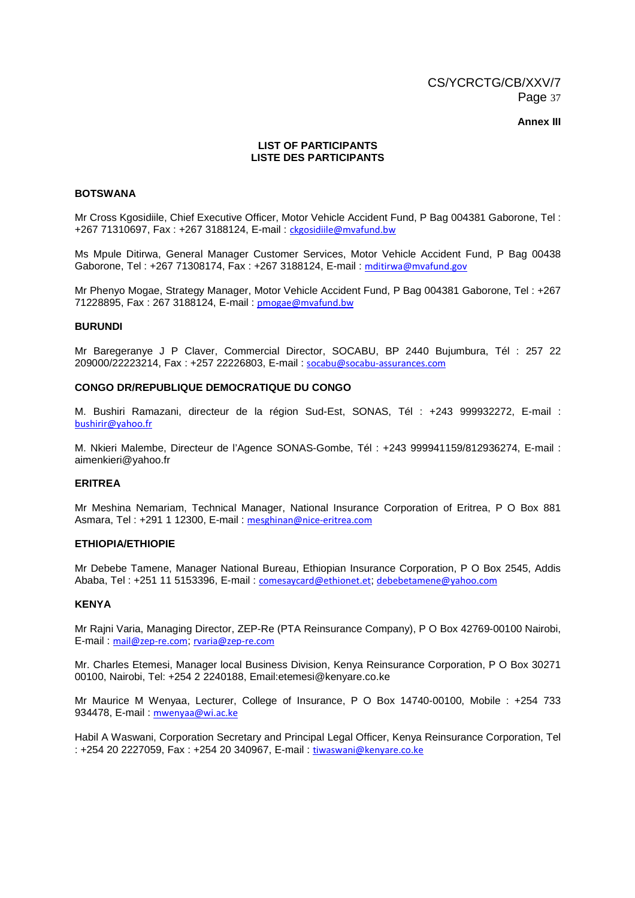#### **Annex III**

#### **LIST OF PARTICIPANTS LISTE DES PARTICIPANTS**

#### **BOTSWANA**

Mr Cross Kgosidiile, Chief Executive Officer, Motor Vehicle Accident Fund, P Bag 004381 Gaborone, Tel : +267 71310697, Fax : +267 3188124, E-mail : ckgosidiile@mvafund.bw

Ms Mpule Ditirwa, General Manager Customer Services, Motor Vehicle Accident Fund, P Bag 00438 Gaborone, Tel : +267 71308174, Fax : +267 3188124, E-mail : mditirwa@mvafund.gov

Mr Phenyo Mogae, Strategy Manager, Motor Vehicle Accident Fund, P Bag 004381 Gaborone, Tel : +267 71228895, Fax : 267 3188124, E-mail : pmogae@mvafund.bw

#### **BURUNDI**

Mr Baregeranye J P Claver, Commercial Director, SOCABU, BP 2440 Bujumbura, Tél : 257 22 209000/22223214, Fax : +257 22226803, E-mail : socabu@socabu-assurances.com

#### **CONGO DR/REPUBLIQUE DEMOCRATIQUE DU CONGO**

M. Bushiri Ramazani, directeur de la région Sud-Est, SONAS, Tél : +243 999932272, E-mail : bushirir@yahoo.fr

M. Nkieri Malembe, Directeur de l'Agence SONAS-Gombe, Tél : +243 999941159/812936274, E-mail : aimenkieri@yahoo.fr

#### **ERITREA**

Mr Meshina Nemariam, Technical Manager, National Insurance Corporation of Eritrea, P O Box 881 Asmara, Tel : +291 1 12300, E-mail : mesghinan@nice-eritrea.com

#### **ETHIOPIA/ETHIOPIE**

Mr Debebe Tamene, Manager National Bureau, Ethiopian Insurance Corporation, P O Box 2545, Addis Ababa, Tel : +251 11 5153396, E-mail : comesaycard@ethionet.et; debebetamene@yahoo.com

#### **KENYA**

Mr Rajni Varia, Managing Director, ZEP-Re (PTA Reinsurance Company), P O Box 42769-00100 Nairobi, E-mail : mail@zep-re.com; rvaria@zep-re.com

Mr. Charles Etemesi, Manager local Business Division, Kenya Reinsurance Corporation, P O Box 30271 00100, Nairobi, Tel: +254 2 2240188, Email:etemesi@kenyare.co.ke

Mr Maurice M Wenyaa, Lecturer, College of Insurance, P O Box 14740-00100, Mobile : +254 733 934478, E-mail: mwenyaa@wi.ac.ke

Habil A Waswani, Corporation Secretary and Principal Legal Officer, Kenya Reinsurance Corporation, Tel : +254 20 2227059, Fax : +254 20 340967, E-mail : tiwaswani@kenyare.co.ke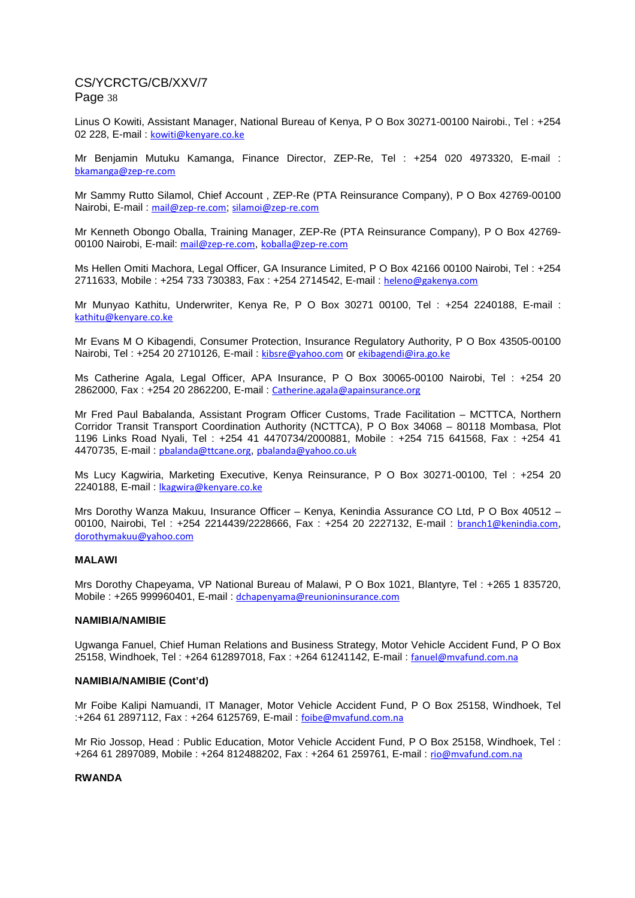Linus O Kowiti, Assistant Manager, National Bureau of Kenya, P O Box 30271-00100 Nairobi., Tel : +254 02 228, E-mail: kowiti@kenyare.co.ke

Mr Benjamin Mutuku Kamanga, Finance Director, ZEP-Re, Tel : +254 020 4973320, E-mail : bkamanga@zep-re.com

Mr Sammy Rutto Silamol, Chief Account , ZEP-Re (PTA Reinsurance Company), P O Box 42769-00100 Nairobi, E-mail : mail@zep-re.com; silamoi@zep-re.com

Mr Kenneth Obongo Oballa, Training Manager, ZEP-Re (PTA Reinsurance Company), P O Box 42769- 00100 Nairobi, E-mail: mail@zep-re.com, koballa@zep-re.com

Ms Hellen Omiti Machora, Legal Officer, GA Insurance Limited, P O Box 42166 00100 Nairobi, Tel : +254 2711633, Mobile : +254 733 730383, Fax : +254 2714542, E-mail : heleno@gakenya.com

Mr Munyao Kathitu, Underwriter, Kenya Re, P O Box 30271 00100, Tel : +254 2240188, E-mail : kathitu@kenyare.co.ke

Mr Evans M O Kibagendi, Consumer Protection, Insurance Regulatory Authority, P O Box 43505-00100 Nairobi, Tel : +254 20 2710126, E-mail : kibsre@yahoo.com or ekibagendi@ira.go.ke

Ms Catherine Agala, Legal Officer, APA Insurance, P O Box 30065-00100 Nairobi, Tel : +254 20 2862000, Fax : +254 20 2862200, E-mail : Catherine.agala@apainsurance.org

Mr Fred Paul Babalanda, Assistant Program Officer Customs, Trade Facilitation – MCTTCA, Northern Corridor Transit Transport Coordination Authority (NCTTCA), P O Box 34068 – 80118 Mombasa, Plot 1196 Links Road Nyali, Tel : +254 41 4470734/2000881, Mobile : +254 715 641568, Fax : +254 41 4470735, E-mail : pbalanda@ttcane.org, pbalanda@yahoo.co.uk

Ms Lucy Kagwiria, Marketing Executive, Kenya Reinsurance, P O Box 30271-00100, Tel : +254 20 2240188, E-mail : lkagwira@kenyare.co.ke

Mrs Dorothy Wanza Makuu, Insurance Officer – Kenya, Kenindia Assurance CO Ltd, P O Box 40512 – 00100, Nairobi, Tel : +254 2214439/2228666, Fax : +254 20 2227132, E-mail : branch1@kenindia.com, dorothymakuu@yahoo.com

#### **MALAWI**

Mrs Dorothy Chapeyama, VP National Bureau of Malawi, P O Box 1021, Blantyre, Tel : +265 1 835720, Mobile : +265 999960401, E-mail : dchapenyama@reunioninsurance.com

#### **NAMIBIA/NAMIBIE**

Ugwanga Fanuel, Chief Human Relations and Business Strategy, Motor Vehicle Accident Fund, P O Box 25158, Windhoek, Tel : +264 612897018, Fax : +264 61241142, E-mail : fanuel@mvafund.com.na

#### **NAMIBIA/NAMIBIE (Cont'd)**

Mr Foibe Kalipi Namuandi, IT Manager, Motor Vehicle Accident Fund, P O Box 25158, Windhoek, Tel :+264 61 2897112, Fax : +264 6125769, E-mail : foibe@mvafund.com.na

Mr Rio Jossop, Head : Public Education, Motor Vehicle Accident Fund, P O Box 25158, Windhoek, Tel : +264 61 2897089, Mobile : +264 812488202, Fax : +264 61 259761, E-mail : rio@mvafund.com.na

#### **RWANDA**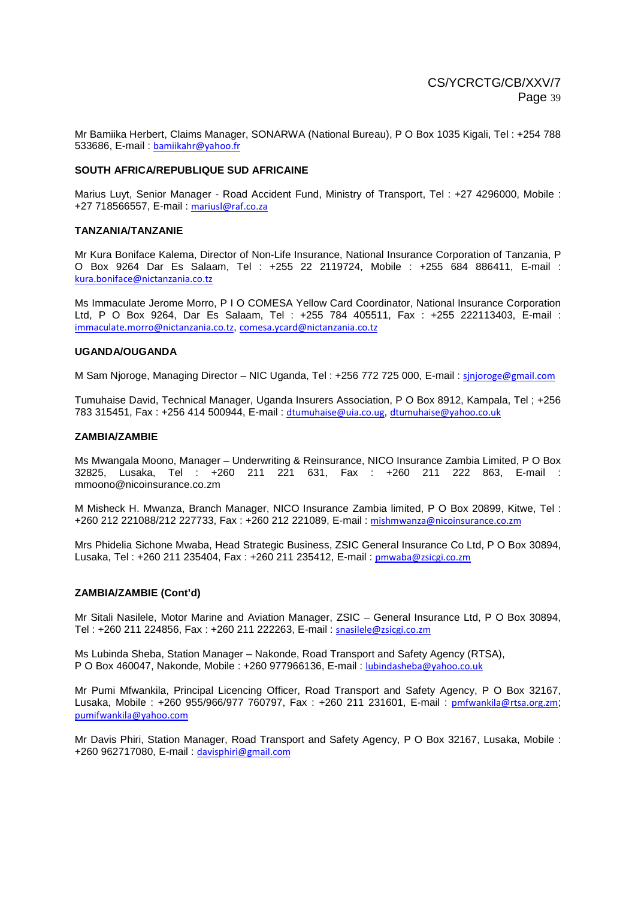Mr Bamiika Herbert, Claims Manager, SONARWA (National Bureau), P O Box 1035 Kigali, Tel : +254 788 533686, E-mail : bamiikahr@yahoo.fr

#### **SOUTH AFRICA/REPUBLIQUE SUD AFRICAINE**

Marius Luyt, Senior Manager - Road Accident Fund, Ministry of Transport, Tel : +27 4296000, Mobile : +27 718566557, E-mail : mariusl@raf.co.za

#### **TANZANIA/TANZANIE**

Mr Kura Boniface Kalema, Director of Non-Life Insurance, National Insurance Corporation of Tanzania, P O Box 9264 Dar Es Salaam, Tel : +255 22 2119724, Mobile : +255 684 886411, E-mail : kura.boniface@nictanzania.co.tz

Ms Immaculate Jerome Morro, P I O COMESA Yellow Card Coordinator, National Insurance Corporation Ltd, P O Box 9264, Dar Es Salaam, Tel : +255 784 405511, Fax : +255 222113403, E-mail : immaculate.morro@nictanzania.co.tz, comesa.ycard@nictanzania.co.tz

#### **UGANDA/OUGANDA**

M Sam Njoroge, Managing Director – NIC Uganda, Tel : +256 772 725 000, E-mail : sinjoroge@gmail.com

Tumuhaise David, Technical Manager, Uganda Insurers Association, P O Box 8912, Kampala, Tel ; +256 783 315451, Fax : +256 414 500944, E-mail : dtumuhaise@uia.co.ug, dtumuhaise@yahoo.co.uk

#### **ZAMBIA/ZAMBIE**

Ms Mwangala Moono, Manager – Underwriting & Reinsurance, NICO Insurance Zambia Limited, P O Box 32825, Lusaka, Tel : +260 211 221 631, Fax : +260 211 222 863, E-mail : mmoono@nicoinsurance.co.zm

M Misheck H. Mwanza, Branch Manager, NICO Insurance Zambia limited, P O Box 20899, Kitwe, Tel : +260 212 221088/212 227733, Fax : +260 212 221089, E-mail : mishmwanza@nicoinsurance.co.zm

Mrs Phidelia Sichone Mwaba, Head Strategic Business, ZSIC General Insurance Co Ltd, P O Box 30894, Lusaka, Tel : +260 211 235404, Fax : +260 211 235412, E-mail : pmwaba@zsicgi.co.zm

#### **ZAMBIA/ZAMBIE (Cont'd)**

Mr Sitali Nasilele, Motor Marine and Aviation Manager, ZSIC – General Insurance Ltd, P O Box 30894, Tel : +260 211 224856, Fax : +260 211 222263, E-mail : snasilele@zsicgi.co.zm

Ms Lubinda Sheba, Station Manager – Nakonde, Road Transport and Safety Agency (RTSA), P O Box 460047, Nakonde, Mobile : +260 977966136, E-mail : lubindasheba@yahoo.co.uk

Mr Pumi Mfwankila, Principal Licencing Officer, Road Transport and Safety Agency, P O Box 32167, Lusaka, Mobile : +260 955/966/977 760797, Fax : +260 211 231601, E-mail : pmfwankila@rtsa.org.zm; pumifwankila@yahoo.com

Mr Davis Phiri, Station Manager, Road Transport and Safety Agency, P O Box 32167, Lusaka, Mobile : +260 962717080, E-mail : davisphiri@gmail.com